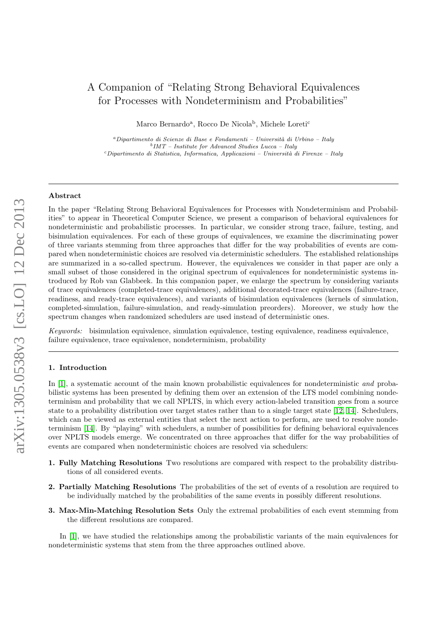# A Companion of "Relating Strong Behavioral Equivalences for Processes with Nondeterminism and Probabilities"

Marco Bernardo<sup>a</sup>, Rocco De Nicola<sup>b</sup>, Michele Loreti<sup>c</sup>

<sup>a</sup>Dipartimento di Scienze di Base e Fondamenti – Università di Urbino – Italy  $b$  IMT – Institute for Advanced Studies Lucca – Italy  $c$ Dipartimento di Statistica, Informatica, Applicazioni – Università di Firenze – Italy

# Abstract

In the paper "Relating Strong Behavioral Equivalences for Processes with Nondeterminism and Probabilities" to appear in Theoretical Computer Science, we present a comparison of behavioral equivalences for nondeterministic and probabilistic processes. In particular, we consider strong trace, failure, testing, and bisimulation equivalences. For each of these groups of equivalences, we examine the discriminating power of three variants stemming from three approaches that differ for the way probabilities of events are compared when nondeterministic choices are resolved via deterministic schedulers. The established relationships are summarized in a so-called spectrum. However, the equivalences we consider in that paper are only a small subset of those considered in the original spectrum of equivalences for nondeterministic systems introduced by Rob van Glabbeek. In this companion paper, we enlarge the spectrum by considering variants of trace equivalences (completed-trace equivalences), additional decorated-trace equivalences (failure-trace, readiness, and ready-trace equivalences), and variants of bisimulation equivalences (kernels of simulation, completed-simulation, failure-simulation, and ready-simulation preorders). Moreover, we study how the spectrum changes when randomized schedulers are used instead of deterministic ones.

Keywords: bisimulation equivalence, simulation equivalence, testing equivalence, readiness equivalence, failure equivalence, trace equivalence, nondeterminism, probability

# 1. Introduction

In [\[1\]](#page-27-0), a systematic account of the main known probabilistic equivalences for nondeterministic and probabilistic systems has been presented by defining them over an extension of the LTS model combining nondeterminism and probability that we call NPLTS, in which every action-labeled transition goes from a source state to a probability distribution over target states rather than to a single target state [\[12,](#page-27-1) [14\]](#page-27-2). Schedulers, which can be viewed as external entities that select the next action to perform, are used to resolve nondeterminism [\[14\]](#page-27-2). By "playing" with schedulers, a number of possibilities for defining behavioral equivalences over NPLTS models emerge. We concentrated on three approaches that differ for the way probabilities of events are compared when nondeterministic choices are resolved via schedulers:

- 1. Fully Matching Resolutions Two resolutions are compared with respect to the probability distributions of all considered events.
- 2. Partially Matching Resolutions The probabilities of the set of events of a resolution are required to be individually matched by the probabilities of the same events in possibly different resolutions.
- 3. Max-Min-Matching Resolution Sets Only the extremal probabilities of each event stemming from the different resolutions are compared.

In [\[1\]](#page-27-0), we have studied the relationships among the probabilistic variants of the main equivalences for nondeterministic systems that stem from the three approaches outlined above.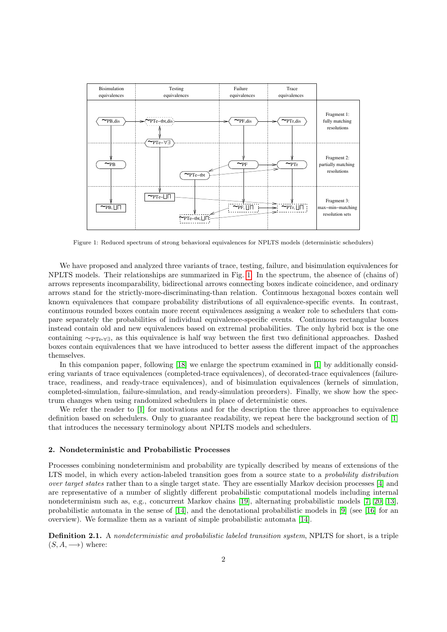

<span id="page-1-0"></span>Figure 1: Reduced spectrum of strong behavioral equivalences for NPLTS models (deterministic schedulers)

We have proposed and analyzed three variants of trace, testing, failure, and bisimulation equivalences for NPLTS models. Their relationships are summarized in Fig. [1.](#page-1-0) In the spectrum, the absence of (chains of) arrows represents incomparability, bidirectional arrows connecting boxes indicate coincidence, and ordinary arrows stand for the strictly-more-discriminating-than relation. Continuous hexagonal boxes contain well known equivalences that compare probability distributions of all equivalence-specific events. In contrast, continuous rounded boxes contain more recent equivalences assigning a weaker role to schedulers that compare separately the probabilities of individual equivalence-specific events. Continuous rectangular boxes instead contain old and new equivalences based on extremal probabilities. The only hybrid box is the one containing ∼PTe-∀∃, as this equivalence is half way between the first two definitional approaches. Dashed boxes contain equivalences that we have introduced to better assess the different impact of the approaches themselves.

In this companion paper, following [\[18\]](#page-28-0) we enlarge the spectrum examined in [\[1\]](#page-27-0) by additionally considering variants of trace equivalences (completed-trace equivalences), of decorated-trace equivalences (failuretrace, readiness, and ready-trace equivalences), and of bisimulation equivalences (kernels of simulation, completed-simulation, failure-simulation, and ready-simulation preorders). Finally, we show how the spectrum changes when using randomized schedulers in place of deterministic ones.

We refer the reader to [\[1\]](#page-27-0) for motivations and for the description the three approaches to equivalence definition based on schedulers. Only to guarantee readability, we repeat here the background section of [\[1\]](#page-27-0) that introduces the necessary terminology about NPLTS models and schedulers.

# 2. Nondeterministic and Probabilistic Processes

Processes combining nondeterminism and probability are typically described by means of extensions of the LTS model, in which every action-labeled transition goes from a source state to a *probability distribution* over target states rather than to a single target state. They are essentially Markov decision processes [\[4\]](#page-27-3) and are representative of a number of slightly different probabilistic computational models including internal nondeterminism such as, e.g., concurrent Markov chains [\[19\]](#page-28-1), alternating probabilistic models [\[7,](#page-27-4) [20,](#page-28-2) [13\]](#page-27-5), probabilistic automata in the sense of [\[14\]](#page-27-2), and the denotational probabilistic models in [\[9\]](#page-27-6) (see [\[16\]](#page-28-3) for an overview). We formalize them as a variant of simple probabilistic automata [\[14\]](#page-27-2).

Definition 2.1. A nondeterministic and probabilistic labeled transition system, NPLTS for short, is a triple  $(S, A, \longrightarrow)$  where: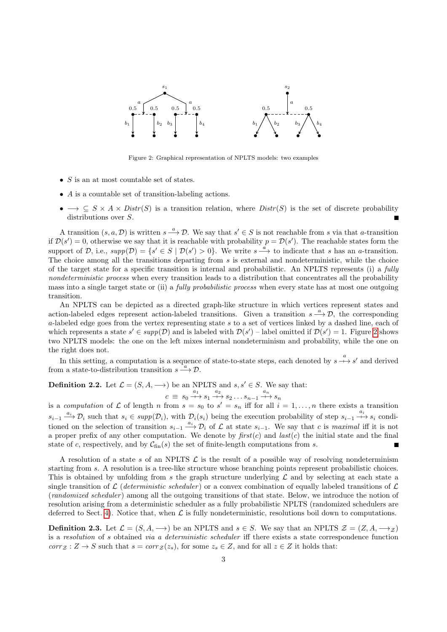

<span id="page-2-0"></span>Figure 2: Graphical representation of NPLTS models: two examples

- $S$  is an at most countable set of states.
- A is a countable set of transition-labeling actions.
- $\bullet \longrightarrow \subseteq S \times A \times Distr(S)$  is a transition relation, where  $Distr(S)$  is the set of discrete probability distributions over  $S$ .

A transition  $(s, a, \mathcal{D})$  is written  $s \stackrel{a}{\longrightarrow} \mathcal{D}$ . We say that  $s' \in S$  is not reachable from s via that a-transition if  $\mathcal{D}(s') = 0$ , otherwise we say that it is reachable with probability  $p = \mathcal{D}(s')$ . The reachable states form the support of D, i.e.,  $supp(D) = \{s' \in S \mid D(s') > 0\}$ . We write  $s \stackrel{a}{\longrightarrow}$  to indicate that s has an a-transition. The choice among all the transitions departing from  $s$  is external and nondeterministic, while the choice of the target state for a specific transition is internal and probabilistic. An NPLTS represents (i) a fully nondeterministic process when every transition leads to a distribution that concentrates all the probability mass into a single target state or (ii) a *fully probabilistic process* when every state has at most one outgoing transition.

An NPLTS can be depicted as a directed graph-like structure in which vertices represent states and action-labeled edges represent action-labeled transitions. Given a transition  $s \xrightarrow{a} \mathcal{D}$ , the corresponding a-labeled edge goes from the vertex representing state s to a set of vertices linked by a dashed line, each of which represents a state  $s' \in supp(D)$  and is labeled with  $\mathcal{D}(s')$  – label omitted if  $\mathcal{D}(s') = 1$ . Figure [2](#page-2-0) shows two NPLTS models: the one on the left mixes internal nondeterminism and probability, while the one on the right does not.

In this setting, a computation is a sequence of state-to-state steps, each denoted by  $s \stackrel{a}{\longrightarrow} s'$  and derived from a state-to-distribution transition  $s \stackrel{i}{\longrightarrow} \mathcal{D}$ .

**Definition 2.2.** Let  $\mathcal{L} = (S, A, \rightarrow)$  be an NPLTS and  $s, s' \in S$ . We say that:

$$
c \equiv s_0 \xrightarrow{a_1} s_1 \xrightarrow{a_2} s_2 \dots s_{n-1} \xrightarrow{a_n} s_n
$$

is a computation of L of length n from  $s = s_0$  to  $s' = s_n$  iff for all  $i = 1, ..., n$  there exists a transition  $s_{i-1} \xrightarrow{a_i} \mathcal{D}_i$  such that  $s_i \in \text{supp}(\mathcal{D}_i)$ , with  $\mathcal{D}_i(s_i)$  being the execution probability of step  $s_{i-1} \xrightarrow{a_i} s_i$  conditioned on the selection of transition  $s_{i-1} \stackrel{a_i}{\longrightarrow} \mathcal{D}_i$  of  $\mathcal L$  at state  $s_{i-1}$ . We say that c is maximal iff it is not a proper prefix of any other computation. We denote by  $first(c)$  and  $last(c)$  the initial state and the final state of c, respectively, and by  $C_{fin}(s)$  the set of finite-length computations from s.

A resolution of a state s of an NPLTS  $\mathcal L$  is the result of a possible way of resolving nondeterminism starting from s. A resolution is a tree-like structure whose branching points represent probabilistic choices. This is obtained by unfolding from s the graph structure underlying  $\mathcal L$  and by selecting at each state a single transition of  $\mathcal L$  (deterministic scheduler) or a convex combination of equally labeled transitions of  $\mathcal L$ (*randomized scheduler*) among all the outgoing transitions of that state. Below, we introduce the notion of resolution arising from a deterministic scheduler as a fully probabilistic NPLTS (randomized schedulers are deferred to Sect. [4\)](#page-22-0). Notice that, when  $\mathcal L$  is fully nondeterministic, resolutions boil down to computations.

**Definition 2.3.** Let  $\mathcal{L} = (S, A, \rightarrow)$  be an NPLTS and  $s \in S$ . We say that an NPLTS  $\mathcal{Z} = (Z, A, \rightarrow)$ is a resolution of s obtained via a deterministic scheduler iff there exists a state correspondence function  $corr_{\mathcal{Z}} : Z \to S$  such that  $s = corr_{\mathcal{Z}}(z_s)$ , for some  $z_s \in Z$ , and for all  $z \in Z$  it holds that: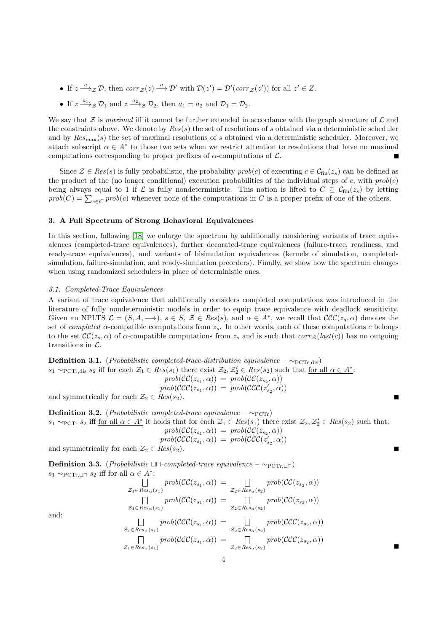- If  $z \stackrel{a}{\longrightarrow} z \mathcal{D}$ , then  $corr_{\mathcal{Z}}(z) \stackrel{a}{\longrightarrow} \mathcal{D}'$  with  $\mathcal{D}(z') = \mathcal{D}'(corr_{\mathcal{Z}}(z'))$  for all  $z' \in \mathcal{Z}$ .
- If  $z \xrightarrow{a_1} z \mathcal{D}_1$  and  $z \xrightarrow{a_2} z \mathcal{D}_2$ , then  $a_1 = a_2$  and  $\mathcal{D}_1 = \mathcal{D}_2$ .

We say that Z is maximal iff it cannot be further extended in accordance with the graph structure of  $\mathcal L$  and the constraints above. We denote by  $Res(s)$  the set of resolutions of s obtained via a deterministic scheduler and by  $Res_{\text{max}}(s)$  the set of maximal resolutions of s obtained via a deterministic scheduler. Moreover, we attach subscript  $\alpha \in A^*$  to those two sets when we restrict attention to resolutions that have no maximal computations corresponding to proper prefixes of  $\alpha$ -computations of  $\mathcal{L}$ .

Since  $\mathcal{Z} \in Res(s)$  is fully probabilistic, the probability  $prob(c)$  of executing  $c \in \mathcal{C}_{fin}(z_s)$  can be defined as the product of the (no longer conditional) execution probabilities of the individual steps of c, with  $prob(c)$ being always equal to 1 if  $\mathcal L$  is fully nondeterministic. This notion is lifted to  $C \subseteq \mathcal C_{\text{fin}}(z_s)$  by letting  $prob(C) = \sum_{c \in C} prob(c)$  whenever none of the computations in C is a proper prefix of one of the others.

# <span id="page-3-0"></span>3. A Full Spectrum of Strong Behavioral Equivalences

In this section, following [\[18\]](#page-28-0) we enlarge the spectrum by additionally considering variants of trace equivalences (completed-trace equivalences), further decorated-trace equivalences (failure-trace, readiness, and ready-trace equivalences), and variants of bisimulation equivalences (kernels of simulation, completedsimulation, failure-simulation, and ready-simulation preorders). Finally, we show how the spectrum changes when using randomized schedulers in place of deterministic ones.

# 3.1. Completed-Trace Equivalences

A variant of trace equivalence that additionally considers completed computations was introduced in the literature of fully nondeterministic models in order to equip trace equivalence with deadlock sensitivity. Given an NPLTS  $\mathcal{L} = (S, A, \longrightarrow), s \in S, \mathcal{Z} \in Res(s),$  and  $\alpha \in A^*$ , we recall that  $\mathcal{CCC}(z_s, \alpha)$  denotes the set of *completed*  $\alpha$ -compatible computations from  $z_s$ . In other words, each of these computations c belongs to the set  $\mathcal{CC}(z_s, \alpha)$  of  $\alpha$ -compatible computations from  $z_s$  and is such that  $corr_{\mathcal{Z}}(last(c))$  has no outgoing transitions in L.

**Definition 3.1.** (*Probabilistic completed-trace-distribution equivalence* 
$$
-\sim_{\text{PCTr},\text{dis}})
$$
  
\n $s_1 \sim_{\text{PCTr},\text{dis}} s_2$  iff for each  $\mathcal{Z}_1 \in Res(s_1)$  there exist  $\mathcal{Z}_2, \mathcal{Z}'_2 \in Res(s_2)$  such that for all  $\alpha \in A^*$ :  
\n
$$
prob(\mathcal{CC}(z_{s_1}, \alpha)) = prob(\mathcal{CC}(z_{s_2}, \alpha))
$$
\n
$$
prob(\mathcal{CCC}(z_{s_1}, \alpha)) = prob(\mathcal{CCC}(z'_{s_2}, \alpha))
$$

and symmetrically for each  $\mathcal{Z}_2 \in Res(s_2)$ .

Definition 3.2. (*Probabilistic completed-trace equivalence –*  $\sim_{\text{PCTr}}$ )  $s_1 \sim_{\text{PCTr}} s_2$  iff <u>for all  $\alpha \in A^*$ </u> it holds that for each  $\mathcal{Z}_1 \in Res(s_1)$  there exist  $\mathcal{Z}_2, \mathcal{Z}'_2 \in Res(s_2)$  such that:  $prob(\mathcal{CC}(z_{s_1}, \alpha)) = prob(\mathcal{CC}(z_{s_2}, \alpha))$  $prob(\mathcal{CCC}(z_{s_1}, \alpha)) = prob(\mathcal{CCC}(z'_{s_2}, \alpha))$ 

П

 $\blacksquare$ 

and symmetrically for each  $\mathcal{Z}_2 \in Res(s_2)$ .

**Definition 3.3.** (*Probabilistic* ⊔ $\Box$ -*completed-trace equivalence* – ∼<sub>PCTr</sub><sub> $\Box$ </sub>)  $s_1 \sim_{\text{PCTr},\sqcup \sqcap} s_2$  iff for all  $\alpha \in A^*$ :

$$
\bigcup_{\mathcal{Z}_1 \in Res_{\alpha}(s_1)} prob(\mathcal{CC}(z_{s_1}, \alpha)) = \bigcup_{\mathcal{Z}_2 \in Res_{\alpha}(s_2)} prob(\mathcal{CC}(z_{s_2}, \alpha))
$$
  
\n
$$
\bigcap_{\mathcal{Z}_1 \in Res_{\alpha}(s_1)} prob(\mathcal{CC}(z_{s_1}, \alpha)) = \bigcap_{\mathcal{Z}_2 \in Res_{\alpha}(s_2)} prob(\mathcal{CC}(z_{s_2}, \alpha))
$$

and:

$$
\bigcup_{\mathcal{Z}_1 \in Res_{\alpha}(s_1)} prob(\mathcal{CCC}(z_{s_1}, \alpha)) = \bigcup_{\mathcal{Z}_2 \in Res_{\alpha}(s_2)} prob(\mathcal{CCC}(z_{s_2}, \alpha))
$$
\n
$$
\bigcap_{\mathcal{Z}_1 \in Res_{\alpha}(s_1)} prob(\mathcal{CCC}(z_{s_1}, \alpha)) = \bigcap_{\mathcal{Z}_2 \in Res_{\alpha}(s_2)} prob(\mathcal{CCC}(z_{s_2}, \alpha))
$$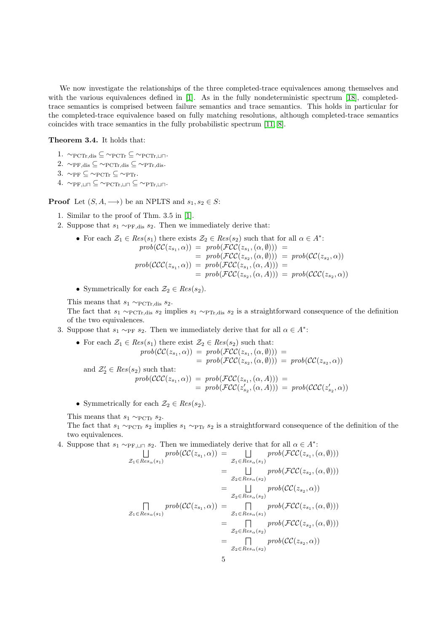We now investigate the relationships of the three completed-trace equivalences among themselves and with the various equivalences defined in [\[1\]](#page-27-0). As in the fully nondeterministic spectrum [\[18\]](#page-28-0), completedtrace semantics is comprised between failure semantics and trace semantics. This holds in particular for the completed-trace equivalence based on fully matching resolutions, although completed-trace semantics coincides with trace semantics in the fully probabilistic spectrum [\[11,](#page-27-7) [8\]](#page-27-8).

# <span id="page-4-0"></span>Theorem 3.4. It holds that:

- 1.  $\sim$  PCTr, dis  $\subseteq \sim$  PCTr  $\subseteq \sim$  PCTr,  $\sqcup \sqcap$ .
- 2.  $\sim_{\text{PF},\text{dis}} \subseteq \sim_{\text{PCTr},\text{dis}} \subseteq \sim_{\text{PTr},\text{dis}}$ .
- 3.  $\sim_{\text{PF}} \subseteq \sim_{\text{PCTr}} \subseteq \sim_{\text{PTr}}$ .
- 4.  $\sim_{\text{PF,LI}}$  ⊆  $\sim_{\text{PCTr,LI}}$  ⊆  $\sim_{\text{PTr,LI}}$ .

**Proof** Let  $(S, A, \longrightarrow)$  be an NPLTS and  $s_1, s_2 \in S$ :

- 1. Similar to the proof of Thm. 3.5 in [\[1\]](#page-27-0).
- 2. Suppose that  $s_1 \sim_{PF, \text{dis}} s_2$ . Then we immediately derive that:

• For each 
$$
\mathcal{Z}_1 \in Res(s_1)
$$
 there exists  $\mathcal{Z}_2 \in Res(s_2)$  such that for all  $\alpha \in A^*$ :  $prob(\mathcal{CC}(z_{s_1}, \alpha)) = prob(\mathcal{FCC}(z_{s_1}, (\alpha, \emptyset))) = prob(\mathcal{FCC}(z_{s_2}, \alpha, \emptyset))) = prob(\mathcal{FCC}(z_{s_2}, \alpha, \emptyset)) = prob(\mathcal{CCC}(z_{s_1}, \alpha, \emptyset)) = prob(\mathcal{CCC}(z_{s_1}, \alpha, \emptyset)) = prob(\mathcal{FCC}(z_{s_2}, \alpha, \emptyset)) = prob(\mathcal{FCC}(z_{s_2}, \alpha, \emptyset)) = prob(\mathcal{CCC}(z_{s_2}, \alpha))$ 

• Symmetrically for each  $\mathcal{Z}_2 \in Res(s_2)$ .

This means that  $s_1 \sim_{\text{PCTr},\text{dis}} s_2$ .

The fact that  $s_1 \sim_{\text{PCTr},\text{dis}} s_2$  implies  $s_1 \sim_{\text{PTr},\text{dis}} s_2$  is a straightforward consequence of the definition of the two equivalences.

3. Suppose that  $s_1 \sim_{\text{PF}} s_2$ . Then we immediately derive that for all  $\alpha \in A^*$ :

• For each 
$$
\mathcal{Z}_1 \in Res(s_1)
$$
 there exist  $\mathcal{Z}_2 \in Res(s_2)$  such that:\n
$$
prob(\mathcal{CC}(z_{s_1}, \alpha)) = prob(\mathcal{FCC}(z_{s_1}, (\alpha, \emptyset))) =
$$
\n
$$
prob(\mathcal{CC}(z_{s_2}, (\alpha, \emptyset))) = prob(\mathcal{FCC}(z_{s_2}, (\alpha, \emptyset))) = prob(\mathcal{CC}(z_{s_2}, \alpha))
$$
\nand  $\mathcal{Z}'_2 \in Res(s_2)$  such that:\n
$$
prob(\mathcal{CCC}(z_{s_1}, \alpha)) = prob(\mathcal{FCC}(z_{s_1}, (\alpha, A))) =
$$
\n
$$
prob(\mathcal{CCC}(z'_{s_2}, (\alpha, A))) = prob(\mathcal{CCC}(z'_{s_2}, \alpha))
$$

• Symmetrically for each  $\mathcal{Z}_2 \in Res(s_2)$ .

This means that  $s_1 \sim_{\text{PCTr}} s_2$ .

The fact that  $s_1 \sim_{\text{PCTr}} s_2$  implies  $s_1 \sim_{\text{PTr}} s_2$  is a straightforward consequence of the definition of the two equivalences.

4. Suppose that  $s_1 \sim_{PF,\sqcup \sqcap} s_2$ . Then we immediately derive that for all  $\alpha \in A^*$ :

$$
\iota_{\mathcal{Z}_1 \in Res_{\alpha}(s_1)}^{(1)} \text{prob}(\mathcal{CC}(z_{s_1}, \alpha)) = \bigsqcup_{\mathcal{Z}_1 \in Res_{\alpha}(s_1)}^{(1)} \text{prob}(\mathcal{FCC}(z_{s_1}, (\alpha, \emptyset)))
$$
\n
$$
= \bigsqcup_{\mathcal{Z}_2 \in Res_{\alpha}(s_2)}^{(2)} \text{prob}(\mathcal{FCC}(z_{s_2}, (\alpha, \emptyset)))
$$
\n
$$
= \bigsqcup_{\mathcal{Z}_2 \in Res_{\alpha}(s_2)}^{(2)} \text{prob}(\mathcal{CC}(z_{s_2}, \alpha))
$$
\n
$$
\mathcal{Z}_1 \in Res_{\alpha}(s_1)
$$
\n
$$
= \bigsqcup_{\mathcal{Z}_1 \in Res_{\alpha}(s_1)}^{(2)} \text{prob}(\mathcal{FCC}(z_{s_1}, (\alpha, \emptyset)))
$$
\n
$$
= \bigsqcup_{\mathcal{Z}_2 \in Res_{\alpha}(s_2)}^{(2)} \text{prob}(\mathcal{FCC}(z_{s_2}, (\alpha, \emptyset)))
$$
\n
$$
= \bigsqcup_{\mathcal{Z}_2 \in Res_{\alpha}(s_2)}^{(2)} \text{prob}(\mathcal{CC}(z_{s_2}, \alpha))
$$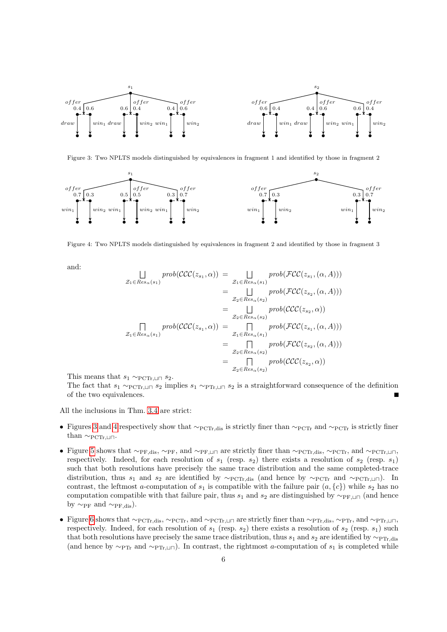

<span id="page-5-0"></span>Figure 3: Two NPLTS models distinguished by equivalences in fragment 1 and identified by those in fragment 2



<span id="page-5-1"></span>Figure 4: Two NPLTS models distinguished by equivalences in fragment 2 and identified by those in fragment 3

and:

$$
\begin{aligned}\n\bigcup_{\mathcal{Z}_1 \in Res_{\alpha}(s_1)} prob(\mathcal{CCC}(z_{s_1}, \alpha)) &= \bigcup_{\mathcal{Z}_1 \in Res_{\alpha}(s_1)} prob(\mathcal{FCC}(z_{s_1}, (\alpha, A))) \\
&= \bigcup_{\mathcal{Z}_2 \in Res_{\alpha}(s_2)} prob(\mathcal{FCC}(z_{s_2}, (\alpha, A))) \\
&= \bigcup_{\mathcal{Z}_2 \in Res_{\alpha}(s_2)} prob(\mathcal{CCC}(z_{s_2}, \alpha)) \\
&= \bigcup_{\mathcal{Z}_2 \in Res_{\alpha}(s_2)} prob(\mathcal{CCC}(z_{s_1}, (\alpha, A))) \\
&= \bigcap_{\mathcal{Z}_1 \in Res_{\alpha}(s_1)} prob(\mathcal{FCC}(z_{s_1}, (\alpha, A))) \\
&= \bigcap_{\mathcal{Z}_2 \in Res_{\alpha}(s_2)} prob(\mathcal{FCC}(z_{s_2}, (\alpha, A))) \\
&= \bigcap_{\mathcal{Z}_2 \in Res_{\alpha}(s_2)} prob(\mathcal{CCC}(z_{s_2}, \alpha))\n\end{aligned}
$$

This means that  $s_1 \sim_{\text{PCTr},\text{LIP}} s_2$ .

The fact that  $s_1 \sim_{\text{PCTr},\perp \sqcap} s_2$  implies  $s_1 \sim_{\text{PTr},\perp \sqcap} s_2$  is a straightforward consequence of the definition of the two equivalences.

All the inclusions in Thm. [3.4](#page-4-0) are strict:

- Figures [3](#page-5-0) and [4](#page-5-1) respectively show that  $\sim_{\text{PCTr},\text{dis}}$  is strictly finer than  $\sim_{\text{PCTr}}$  and  $\sim_{\text{PCTr}}$  is strictly finer than  $\sim_{\text{PCTr},\sqcup\sqcap}$ .
- Figure [5](#page-6-0) shows that  $\sim_{PF,dis}, \sim_{PF}$ , and  $\sim_{PF, \perp\Box}$  are strictly finer than  $\sim_{PCTr,dis}, \sim_{PCTr}$ , and  $\sim_{PCTr, \perp\Box}$ respectively. Indeed, for each resolution of  $s_1$  (resp.  $s_2$ ) there exists a resolution of  $s_2$  (resp.  $s_1$ ) such that both resolutions have precisely the same trace distribution and the same completed-trace distribution, thus s<sub>1</sub> and s<sub>2</sub> are identified by  $\sim_{\text{PCTr},\text{dis}}$  (and hence by  $\sim_{\text{PCTr}},\text{and } \sim_{\text{PCTr},\text{LIT}}$ ). In contrast, the leftmost a-computation of  $s_1$  is compatible with the failure pair  $(a, \{c\})$  while  $s_2$  has no computation compatible with that failure pair, thus  $s_1$  and  $s_2$  are distinguished by  $\sim_{\text{PF},\sqcup}\sqcap$  (and hence by  $\sim_{\text{PF}}$  and  $\sim_{\text{PF},\text{dis}}$ ).
- Figure [6](#page-6-1) shows that  $\sim_{\text{PCTr},\text{dis}}, \sim_{\text{PCTr}}, \text{and } \sim_{\text{PCTr},\sqcup \sqcap}$  are strictly finer than  $\sim_{\text{PTr},\text{dis}}, \sim_{\text{PTr}}, \text{and } \sim_{\text{PTr},\sqcup \sqcap}$ respectively. Indeed, for each resolution of  $s_1$  (resp.  $s_2$ ) there exists a resolution of  $s_2$  (resp.  $s_1$ ) such that both resolutions have precisely the same trace distribution, thus  $s_1$  and  $s_2$  are identified by ∼PTr, dis (and hence by  $\sim_{\text{PTr}}$  and  $\sim_{\text{PTr},\sqcup\sqcap}$ ). In contrast, the rightmost a-computation of s<sub>1</sub> is completed while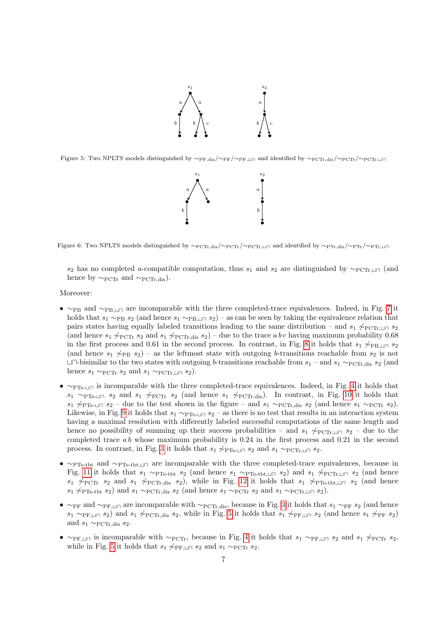

<span id="page-6-0"></span>Figure 5: Two NPLTS models distinguished by  $\sim_{PF,\text{dis}}/\sim_{PF}/\sim_{PF,\text{LI}}$  and identified by  $\sim_{PCTr,\text{dis}}/\sim_{PCTr}/\sim_{PCTr,\text{LI}}$ 



<span id="page-6-1"></span>Figure 6: Two NPLTS models distinguished by  $\sim_{PCTr,dis}/\sim_{PCTr}/\sim_{PCTr,un}$  and identified by  $\sim_{PTr,dis}/\sim_{PTr}/\sim_{PTr,un}$ 

s<sub>2</sub> has no completed a-compatible computation, thus s<sub>1</sub> and s<sub>2</sub> are distinguished by ∼PCT<sub>r</sub>+ $\Box$  (and hence by  $\sim_{\text{PCTr}}$  and  $\sim_{\text{PCTr}}$  dis).

# Moreover:

- $\sim_{\text{PB}}$  and  $\sim_{\text{PB}}$  are incomparable with the three completed-trace equivalences. Indeed, in Fig. [7](#page-7-0) it holds that  $s_1 \sim_{\text{PB}} s_2$  (and hence  $s_1 \sim_{\text{PB},\perp|\square} s_2$ ) – as can be seen by taking the equivalence relation that pairs states having equally labeled transitions leading to the same distribution – and  $s_1 \not\sim_{\text{PCTr,1}} s_2$ (and hence  $s_1 \not\sim_{\text{PCTr}} s_2$  and  $s_1 \not\sim_{\text{PCTr},dis} s_2$ ) – due to the trace a b c having maximum probability 0.68 in the first process and 0.61 in the second process. In contrast, in Fig. [8](#page-7-1) it holds that  $s_1 \not\sim_{\text{PB,LI}} s_2$ (and hence  $s_1 \not\sim_{\text{PB}} s_2$ ) – as the leftmost state with outgoing b-transitions reachable from  $s_2$  is not  $\Box$  tu-bisimilar to the two states with outgoing b-transitions reachable from  $s_1$  – and  $s_1 \sim_{\text{PCTr},\text{dis}} s_2$  (and hence  $s_1 \sim_{\text{PCTr}} s_2$  and  $s_1 \sim_{\text{PCTr},\sqcup \sqcap} s_2$ .
- ∼PTe-tu is incomparable with the three completed-trace equivalences. Indeed, in Fig. [4](#page-5-1) it holds that  $s_1 \sim_{\text{PTe-I} \sqcap} s_2$  and  $s_1 \not\sim_{\text{PCTr}} s_2$  (and hence  $s_1 \not\sim_{\text{PCTr,dis}}$ ). In contrast, in Fig. [10](#page-8-0) it holds that  $s_1 \not\sim_{\text{PTe-LI}} s_2$  – due to the test shown in the figure – and  $s_1 \sim_{\text{PCTr,dis}} s_2$  (and hence  $s_1 \sim_{\text{PCTr}} s_2$ ). Likewise, in Fig. [9](#page-7-2) it holds that  $s_1 \sim_{\text{PTe-II}} s_2 -$  as there is no test that results in an interaction system having a maximal resolution with differently labeled successful computations of the same length and hence no possibility of summing up their success probabilities – and  $s_1 \not\sim_{\text{PCTr},\perp \sqcap} s_2$  – due to the completed trace  $ab$  whose maximum probability is 0.24 in the first process and 0.21 in the second process. In contrast, in Fig. [3](#page-5-0) it holds that  $s_1 \nleftrightarrow_{\text{PTe-1} \sqcap} s_2$  and  $s_1 \sim_{\text{PCTr,1} \sqcap} s_2$ .
- $\sim_{\text{PPTest}}$  and  $\sim_{\text{PPTest}$ tht,⊔ $\sqcap$  are incomparable with the three completed-trace equivalences, because in Fig. [11](#page-8-1) it holds that  $s_1 \sim_{\text{PTe-tbt}} s_2$  (and hence  $s_1 \sim_{\text{PTe-tbt},\text{L}\square} s_2$ ) and  $s_1 \not\sim_{\text{PCTr},\square}\square$  s<sub>2</sub> (and hence  $s_1 \not\sim_{\text{PCTr}} s_2$  and  $s_1 \not\sim_{\text{PCTr,dis}} s_2$ ), while in Fig. [12](#page-8-2) it holds that  $s_1 \not\sim_{\text{PTe-tbt,LI}} s_2$  (and hence  $s_1 \not\sim_{\text{PTe-tbt}} s_2$  and  $s_1 \sim_{\text{PCTr,dis}} s_2$  (and hence  $s_1 \sim_{\text{PCTr}} s_2$  and  $s_1 \sim_{\text{PCTr,LI}} s_2$ ).
- $\sim$ PF and ∼PF,⊔⊓ are incomparable with ∼PCTr,dis, because in Fig. [3](#page-5-0) it holds that  $s_1 \sim_{\text{PF}} s_2$  (and hence  $s_1 \sim_{\text{PF},\sqcup \sqcap} s_2$  and  $s_1 \not\sim_{\text{PCTr},\text{dis}} s_2$ , while in Fig. [5](#page-6-0) it holds that  $s_1 \not\sim_{\text{PF},\sqcup \sqcap} s_2$  (and hence  $s_1 \not\sim_{\text{PF}} s_2$ ) and  $s_1 \sim p_{\text{CTr,dis}} s_2$ .
- ∼PF,  $\Box$  is incomparable with ∼PCTr, because in Fig. [4](#page-5-1) it holds that s<sub>1</sub> ∼PF,  $\Box$  s<sub>2</sub> and s<sub>1</sub>  $\not\sim$ PCTr s<sub>2</sub>, while in Fig. [5](#page-6-0) it holds that  $s_1 \nsim_{\text{PF},\sqcup \sqcap} s_2$  and  $s_1 \sim_{\text{PCTr}} s_2$ .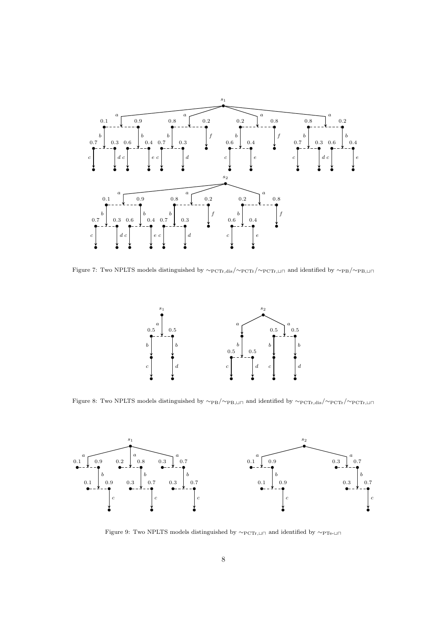

<span id="page-7-0"></span>Figure 7: Two NPLTS models distinguished by  $\sim$ PCTr,dis/∼PCTr/ $\sim$ PCTr,⊔⊓ and identified by  $\sim$ PB/ $\sim$ PB,⊔⊓



<span id="page-7-1"></span>Figure 8: Two NPLTS models distinguished by  $\sim_{PB}/\sim_{PB, \sqcup \sqcap}$  and identified by  $\sim_{PCTr, dis}/\sim_{PCTr}/\sim_{PCTr, \sqcup \sqcap}$ 



<span id="page-7-2"></span>Figure 9: Two NPLTS models distinguished by  $\sim_{\mathrm{PCTr},\sqcup\sqcap}$  and identified by  $\sim_{\mathrm{PTe}\text{-}\sqcup\sqcap}$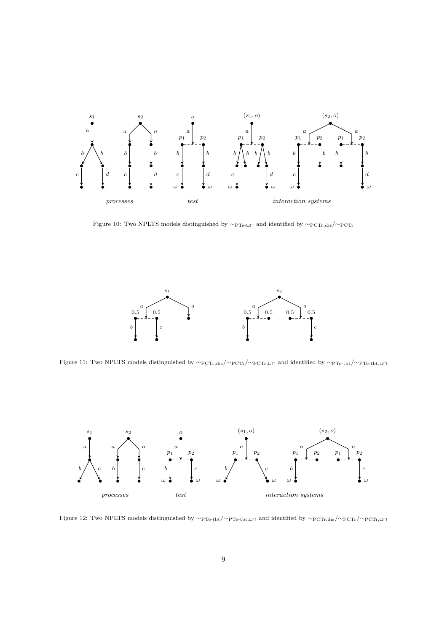

<span id="page-8-0"></span>Figure 10: Two NPLTS models distinguished by  $\sim_{\rm PTe\text{-}LI\cap}$  and identified by  $\sim_{\rm PCTr,dis}/\sim_{\rm PCTr}$ 



<span id="page-8-1"></span>Figure 11: Two NPLTS models distinguished by  $\sim$ PCTr,dis/ $\sim$ PCTr, $\sim$ PCTr, $\sim$ ndidentified by  $\sim$ PTe-tbt, $\sim$ PTe-tbt, $\sim$ 



<span id="page-8-2"></span>Figure 12: Two NPLTS models distinguished by  $\sim_{\rm PTe-tbt}/\sim_{\rm PTe-tbt, \sqcup \sqcap}$  and identified by  $\sim_{\rm PCTr,dis}/\sim_{\rm PCTr}/\sim_{\rm PCTr, \sqcup \sqcap}$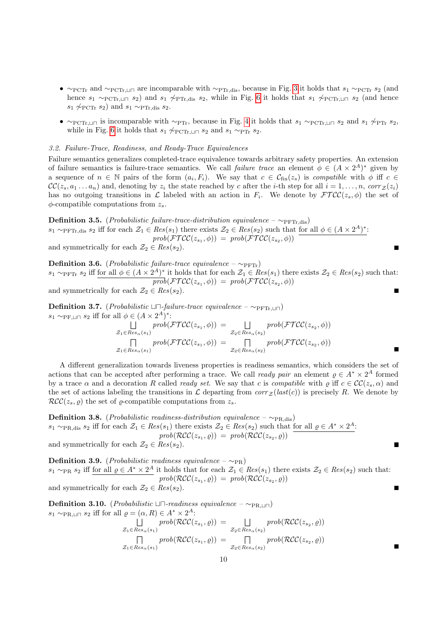- ∼PCTr and ∼PCTr, una are incomparable with ∼PTr,dis, because in Fig. [3](#page-5-0) it holds that  $s_1 \sim_{\text{PCTr}} s_2$  (and hence  $s_1 \sim_{\text{PCTr},\perp \parallel \parallel} s_2$ ) and  $s_1 \not\sim_{\text{PTTr},\text{dis}} s_2$ , while in Fig. [6](#page-6-1) it holds that  $s_1 \not\sim_{\text{PCTr},\perp \parallel \parallel} s_2$  (and hence  $s_1 \not\sim_{\text{PCTr}} s_2$ ) and  $s_1 \sim_{\text{PTr,dis}} s_2$ .
- ∼PCTr,  $\Box \Box$  is incomparable with ∼PTr, because in Fig. [4](#page-5-1) it holds that  $s_1 \sim PCTr$ ,  $\Box \Box s_2$  and  $s_1 \not\sim PTTr$ ,  $s_2$ , while in Fig. [6](#page-6-1) it holds that  $s_1 \not\sim_{\text{PCTr},\square \square} s_2$  and  $s_1 \sim_{\text{PTr}} s_2$ .

# 3.2. Failure-Trace, Readiness, and Ready-Trace Equivalences

Failure semantics generalizes completed-trace equivalence towards arbitrary safety properties. An extension of failure semantics is failure-trace semantics. We call *failure trace* an element  $\phi \in (A \times 2^A)^*$  given by a sequence of  $n \in \mathbb{N}$  pairs of the form  $(a_i, F_i)$ . We say that  $c \in \mathcal{C}_{fin}(z_s)$  is compatible with  $\phi$  iff  $c \in \mathcal{C}_{fin}(z_s)$  $\mathcal{CC}(z_s, a_1 \ldots a_n)$  and, denoting by  $z_i$  the state reached by c after the *i*-th step for all  $i = 1, \ldots, n$ , corr  $z(z_i)$ has no outgoing transitions in  $\mathcal L$  labeled with an action in  $F_i$ . We denote by  $\mathcal{FTCC}(z_s, \phi)$  the set of  $\phi$ -compatible computations from  $z_s$ .

**Definition 3.5.** (*Probabilistic failure-trace-distribution equivalence –*  $∼$ <sub>PFTr,dis</sub>)  $s_1 \sim_{\text{PFTr,dis}} s_2$  iff for each  $\mathcal{Z}_1 \in Res(s_1)$  there exists  $\mathcal{Z}_2 \in Res(s_2)$  such that for all  $\phi \in (A \times 2^A)^*$ :  $prob(\mathcal{FTCC}(z_{s_1}, \phi)) = prob(\mathcal{FTCC}(z_{s_2}, \phi))$ and symmetrically for each  $\mathcal{Z}_2 \in Res(s_2)$ .

**Definition 3.6.** (*Probabilistic failure-trace equivalence –*  $\sim_{\text{PFTr}}$ )  $s_1 \sim_{\text{PFTr}} s_2$  iff for all  $\phi \in (A \times 2^A)^*$  it holds that for each  $\mathcal{Z}_1 \in Res(s_1)$  there exists  $\mathcal{Z}_2 \in Res(s_2)$  such that:  $prob(\mathcal{FTCC}(z_{s_1}, \phi)) = prob(\mathcal{FTCC}(z_{s_2}, \phi))$ and symmetrically for each  $\mathcal{Z}_2 \in Res(s_2)$ .

**Definition 3.7.** (*Probabilistic*  $\Box\Box$ -*failure-trace equivalence –* ∼ $\Box$  $\Box\Box$ )  $s_1 \sim_{\text{PF},\sqcup \sqcap} s_2$  iff for all  $\phi \in (A \times 2^A)^*$ :

$$
\bigcup_{\mathcal{Z}_1 \in Res_{\alpha}(s_1)} prob(\mathcal{FTCC}(z_{s_1}, \phi)) = \bigcup_{\mathcal{Z}_2 \in Res_{\alpha}(s_2)} prob(\mathcal{FTCC}(z_{s_2}, \phi))
$$
  
\n
$$
\bigcap_{\mathcal{Z}_1 \in Res_{\alpha}(s_1)} prob(\mathcal{FTCC}(z_{s_1}, \phi)) = \bigcap_{\mathcal{Z}_2 \in Res_{\alpha}(s_2)} prob(\mathcal{FTCC}(z_{s_2}, \phi))
$$

A different generalization towards liveness properties is readiness semantics, which considers the set of actions that can be accepted after performing a trace. We call *ready pair* an element  $\rho \in A^* \times 2^A$  formed by a trace  $\alpha$  and a decoration R called ready set. We say that c is compatible with  $\rho$  iff  $c \in \mathcal{CC}(z_0, \alpha)$  and the set of actions labeling the transitions in L departing from  $corr_z (last(c))$  is precisely R. We denote by  $\mathcal{RCC}(z_s, \varrho)$  the set of  $\varrho$ -compatible computations from  $z_s$ .

**Definition 3.8.** (*Probabilistic readiness-distribution equivalence* –  $∼_{PR,dis}$ )  $s_1 \sim_{\text{PR,dis}} s_2$  iff for each  $\mathcal{Z}_1 \in Res(s_1)$  there exists  $\mathcal{Z}_2 \in Res(s_2)$  such that for all  $\varrho \in A^* \times 2^A$ :  $prob(\mathcal{RCC}(z_{s_1}, \varrho)) = prob(\mathcal{RCC}(z_{s_2}, \varrho))$ and symmetrically for each  $\mathcal{Z}_2 \in Res(s_2)$ .

**Definition 3.9.** (*Probabilistic readiness equivalence –*  $~\sim_{PR}$ )  $s_1 \sim_{\text{PR}} s_2$  iff for all  $\varrho \in A^* \times 2^A$  it holds that for each  $\mathcal{Z}_1 \in Res(s_1)$  there exists  $\mathcal{Z}_2 \in Res(s_2)$  such that:  $prob(\mathcal{RCC}(z_{s_1}, \varrho)) = prob(\mathcal{RCC}(z_{s_2}, \varrho))$ and symmetrically for each  $\mathcal{Z}_2 \in Res(s_2)$ . П

**Definition 3.10.** (*Probabilistic* ⊔ $\sqcap$ -readiness equivalence – ∼<sub>PR,⊔ $\sqcap$ </sub>)  $s_1 \sim_{\text{PR}, \sqcup \sqcap} s_2$  iff for all  $\varrho = (\alpha, R) \in A^* \times 2^A$ :  $\Box$  prob( $\mathcal{RCC}(z_{s_1}, \varrho)$ ) =  $\Box$  prob( $\mathcal{RCC}(z_{s_2}, \varrho)$ )  $\mathcal{Z}_1 \in Res_{\alpha}(s_1)$  $\mathcal{Z}_2 \in Res_{\alpha}(s_2)$ 

$$
\mathcal{Z}_1 \in Res_{\alpha}(s_1) \qquad \qquad \mathcal{Z}_2 \in Res_{\alpha}(s_2) \qquad \qquad \mathcal{Z}_3 \in Res_{\alpha}(s_2) \qquad \qquad \mathcal{Z}_4 \in Res_{\alpha}(s_1) \qquad \qquad \mathcal{Z}_5 \in Res_{\alpha}(s_2) \qquad \qquad \mathcal{Z}_6 \in Res_{\alpha}(s_2)
$$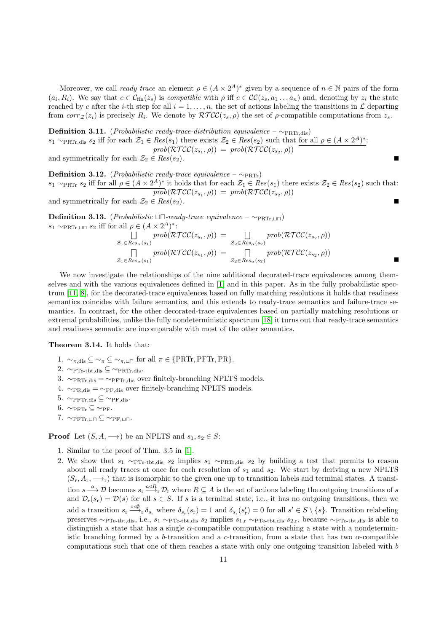Moreover, we call *ready trace* an element  $\rho \in (A \times 2^A)^*$  given by a sequence of  $n \in \mathbb{N}$  pairs of the form  $(a_i, R_i)$ . We say that  $c \in \mathcal{C}_{fin}(z_s)$  is compatible with  $\rho$  iff  $c \in \mathcal{CC}(z_s, a_1 \ldots a_n)$  and, denoting by  $z_i$  the state reached by c after the *i*-th step for all  $i = 1, \ldots, n$ , the set of actions labeling the transitions in  $\mathcal L$  departing from  $corr_{\mathcal{Z}}(z_i)$  is precisely  $R_i$ . We denote by  $\mathcal{RTCC}(z_s, \rho)$  the set of  $\rho$ -compatible computations from  $z_s$ .

**Definition 3.11.** (*Probabilistic ready-trace-distribution equivalence* –  $\sim_{\text{PRTr,dis}}$ )  $s_1 \sim_{\text{PRTr},\text{dis}} s_2$  iff for each  $\mathcal{Z}_1 \in Res(s_1)$  there exists  $\mathcal{Z}_2 \in Res(s_2)$  such that for all  $\rho \in (A \times 2^A)^*$ :  $prob(\mathcal{RTCC}(z_{s_1}, \rho)) = prob(\mathcal{RTCC}(z_{s_2}, \rho))$ and symmetrically for each  $\mathcal{Z}_2 \in Res(s_2)$ .

Definition 3.12. (*Probabilistic ready-trace equivalence –*  $\sim_{\text{PRTr}}$ )  $s_1 \sim_{\text{PRTr}} s_2$  iff for all  $\rho \in (A \times 2^A)^*$  it holds that for each  $\mathcal{Z}_1 \in Res(s_1)$  there exists  $\mathcal{Z}_2 \in Res(s_2)$  such that:  $prob(\mathcal{RTCC}(z_{s_1}, \rho)) = prob(\mathcal{RTCC}(z_{s_2}, \rho))$ and symmetrically for each  $\mathcal{Z}_2 \in Res(s_2)$ . П

**Definition 3.13.** (*Probabilistic*  $\Box$  – *ready-trace equivalence* – ∼<sub>PRTr, $\Box$  $\Box$ )</sub>  $s_1 \sim_{\text{PRTr}, \sqcup \sqcap} s_2$  iff for all  $\rho \in (A \times 2^A)^*$ :

$$
\bigcup_{\mathcal{Z}_1 \in Res_{\alpha}(s_1)} prob(\mathcal{RTCC}(z_{s_1}, \rho)) = \bigcup_{\mathcal{Z}_2 \in Res_{\alpha}(s_2)} prob(\mathcal{RTCC}(z_{s_2}, \rho))
$$
  

$$
\bigcap_{\mathcal{Z}_1 \in Res_{\alpha}(s_1)} prob(\mathcal{RTCC}(z_{s_1}, \rho)) = \bigcap_{\mathcal{Z}_2 \in Res_{\alpha}(s_2)} prob(\mathcal{RTCC}(z_{s_2}, \rho))
$$

ш

We now investigate the relationships of the nine additional decorated-trace equivalences among themselves and with the various equivalences defined in [\[1\]](#page-27-0) and in this paper. As in the fully probabilistic spectrum [\[11,](#page-27-7) [8\]](#page-27-8), for the decorated-trace equivalences based on fully matching resolutions it holds that readiness semantics coincides with failure semantics, and this extends to ready-trace semantics and failure-trace semantics. In contrast, for the other decorated-trace equivalences based on partially matching resolutions or extremal probabilities, unlike the fully nondeterministic spectrum [\[18\]](#page-28-0) it turns out that ready-trace semantics and readiness semantic are incomparable with most of the other semantics.

# <span id="page-10-0"></span>Theorem 3.14. It holds that:

- 1.  $\sim_{\pi,\text{dis}} \subseteq \sim_{\pi} \subseteq \sim_{\pi,\text{un}}$  for all  $\pi \in \{\text{PRTr},\text{PFTr},\text{PR}\}.$
- 2.  $\sim_{\text{PTe-tbt,dis}} \subseteq \sim_{\text{PRTr,dis}}$ .
- 3.  $\sim_{\text{PRTr,dis}} = \sim_{\text{PFTr,dis}}$  over finitely-branching NPLTS models.
- 4.  $\sim_{PR,dis} = \sim_{PF,dis}$  over finitely-branching NPLTS models.
- 5.  $∼$ PFTr,dis ⊆  $∼$ PF,dis.
- 6.  $∼$ PFTr  $\subseteq$  ~PF.
- 7.  $\sim$ PFTr,tu $\subset \sim$ PF,tu $\subset$ .

**Proof** Let  $(S, A, \longrightarrow)$  be an NPLTS and  $s_1, s_2 \in S$ :

- 1. Similar to the proof of Thm. 3.5 in [\[1\]](#page-27-0).
- 2. We show that  $s_1 \sim_{\text{PPTe-tbt,dis}} s_2$  implies  $s_1 \sim_{\text{PRTr,dis}} s_2$  by building a test that permits to reason about all ready traces at once for each resolution of  $s_1$  and  $s_2$ . We start by deriving a new NPLTS  $(S_r, A_r, \longrightarrow_r)$  that is isomorphic to the given one up to transition labels and terminal states. A transition  $s \stackrel{a}{\longrightarrow} \mathcal{D}$  becomes  $s_r \stackrel{a \triangleleft R}{\longrightarrow}_r \mathcal{D}_r$  where  $R \subseteq A$  is the set of actions labeling the outgoing transitions of s and  $\mathcal{D}_r(s_r) = \mathcal{D}(s)$  for all  $s \in S$ . If s is a terminal state, i.e., it has no outgoing transitions, then we add a transition  $s_r \stackrel{\circ \triangleleft \emptyset}{\longrightarrow} \delta_{s_r}$  where  $\delta_{s_r}(s_r) = 1$  and  $\delta_{s_r}(s'_r) = 0$  for all  $s' \in S \setminus \{s\}$ . Transition relabeling preserves  $\sim_{\text{PPTe-tbt,dis}}$ , i.e.,  $s_1 \sim_{\text{PPTe-tbt,dis}} s_2$  implies  $s_{1,r} \sim_{\text{PPTe-tbt,dis}} s_{2,r}$ , because  $\sim_{\text{PPTe-tbt,dis}}$  is able to distinguish a state that has a single α-compatible computation reaching a state with a nondeterministic branching formed by a b-transition and a c-transition, from a state that has two  $\alpha$ -compatible computations such that one of them reaches a state with only one outgoing transition labeled with b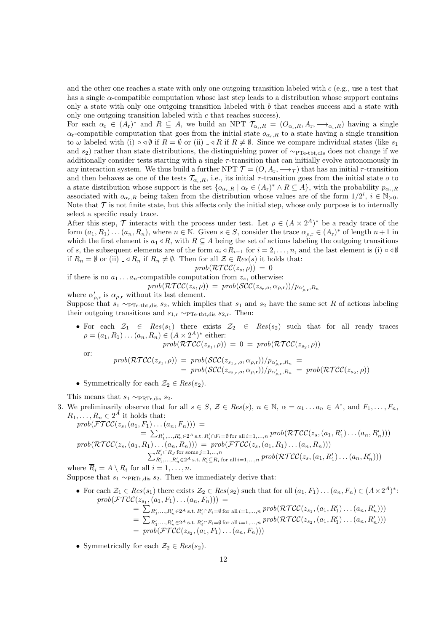and the other one reaches a state with only one outgoing transition labeled with  $c$  (e.g., use a test that has a single  $\alpha$ -compatible computation whose last step leads to a distribution whose support contains only a state with only one outgoing transition labeled with  $b$  that reaches success and a state with only one outgoing transition labeled with  $c$  that reaches success).

For each  $\alpha_r \in (A_r)^*$  and  $R \subseteq A$ , we build an NPT  $\mathcal{T}_{\alpha_r,R} = (O_{\alpha_r,R}, A_r, \longrightarrow_{\alpha_r,R})$  having a single  $\alpha_r$ -compatible computation that goes from the initial state  $o_{\alpha_r,R}$  to a state having a single transition to  $\omega$  labeled with (i)  $\circ \triangleleft \emptyset$  if  $R = \emptyset$  or (ii)  $\Box \triangleleft R$  if  $R \neq \emptyset$ . Since we compare individual states (like  $s_1$ ) and  $s_2$ ) rather than state distributions, the distinguishing power of  $\sim_{\text{PP}_\text{c-tbt,dis}}$  does not change if we additionally consider tests starting with a single  $\tau$ -transition that can initially evolve autonomously in any interaction system. We thus build a further NPT  $\mathcal{T} = (O, A_r, \rightarrow_{\mathcal{T}})$  that has an initial  $\tau$ -transition and then behaves as one of the tests  $\mathcal{T}_{\alpha_k,R}$ , i.e., its initial  $\tau$ -transition goes from the initial state o to a state distribution whose support is the set  $\{o_{\alpha_r,R} \mid \alpha_r \in (A_r)^* \land R \subseteq A\}$ , with the probability  $p_{\alpha_r,R}$ associated with  $o_{\alpha_r,R}$  being taken from the distribution whose values are of the form  $1/2^i$ ,  $i \in \mathbb{N}_{>0}$ . Note that  $\mathcal T$  is not finite state, but this affects only the initial step, whose only purpose is to internally select a specific ready trace.

After this step,  $\mathcal T$  interacts with the process under test. Let  $\rho \in (A \times 2^A)^*$  be a ready trace of the form  $(a_1, R_1) \dots (a_n, R_n)$ , where  $n \in \mathbb{N}$ . Given  $s \in S$ , consider the trace  $\alpha_{\rho, r} \in (A_r)^*$  of length  $n+1$  in which the first element is  $a_1 \triangleleft R$ , with  $R \subseteq A$  being the set of actions labeling the outgoing transitions of s, the subsequent elements are of the form  $a_i \triangleleft R_{i-1}$  for  $i = 2, ..., n$ , and the last element is (i)  $\circ \triangleleft \emptyset$ if  $R_n = \emptyset$  or (ii)  $\Box \triangleleft R_n$  if  $R_n \neq \emptyset$ . Then for all  $\mathcal{Z} \in Res(s)$  it holds that:

$$
prob(\mathcal{RTCC}(z_s,\rho)) = 0
$$

if there is no  $a_1 \ldots a_n$ -compatible computation from  $z_s$ , otherwise:  $prob(\mathcal{RTCC}(z_s, \rho)) = prob(\mathcal{SCC}(z_{s_r, o}, \alpha_{\rho, r}))/p_{\alpha'_{\rho, r}, R_n}$ 

where  $\alpha'_{\rho,r}$  is  $\alpha_{\rho,r}$  without its last element. Suppose that  $s_1 \sim_{\text{Pre-tbt,dis}} s_2$ , which implies that  $s_1$  and  $s_2$  have the same set R of actions labeling their outgoing transitions and  $s_{1,r} \sim_{\text{PTe-tbt,dis}} s_{2,r}$ . Then:

• For each  $\mathcal{Z}_1 \in Res(s_1)$  there exists  $\mathcal{Z}_2 \in Res(s_2)$  such that for all ready traces  $\rho = (a_1, R_1) \dots (a_n, R_n) \in (A \times 2^A)^*$  either:

$$
prob(\mathcal{RTCC}(z_{s_1}, \rho)) = 0 = prob(\mathcal{RTCC}(z_{s_2}, \rho))
$$

or:

$$
prob(\mathcal{RTCC}(z_{s_1}, \rho)) = prob(\mathcal{SCC}(z_{s_1, r, o}, \alpha_{\rho, r}))/p_{\alpha'_{\rho, r}, R_n} =
$$
  
= prob(\mathcal{SCC}(z\_{s\_2, r, o}, \alpha\_{\rho, r}))/p\_{\alpha'\_{\rho, r}, R\_n} = prob(\mathcal{RTCC}(z\_{s\_2}, \rho))

• Symmetrically for each  $\mathcal{Z}_2 \in Res(s_2)$ .

This means that  $s_1 \sim_{\text{PRTr},\text{dis}} s_2$ .

3. We preliminarily observe that for all  $s \in S$ ,  $\mathcal{Z} \in Res(s)$ ,  $n \in \mathbb{N}$ ,  $\alpha = a_1 \dots a_n \in A^*$ , and  $F_1, \dots, F_n$ ,  $R_1, \ldots, R_n \in 2^A$  it holds that:

$$
prob(\mathcal{FTCC}(z_s, (a_1, F_1) \dots (a_n, F_n))) =
$$
  
\n
$$
= \sum_{R'_1, \dots, R'_n \in 2^A} \sum_{s.t. R'_i \cap F_i = \emptyset \text{ for all } i=1, \dots, n} prob(\mathcal{RTCC}(z_s, (a_1, R'_1) \dots (a_n, R'_n)))
$$
  
\n
$$
prob(\mathcal{RTCC}(z_s, (a_1, R_1) \dots (a_n, R_n))) = prob(\mathcal{FTCC}(z_s, (a_1, \overline{R}_1) \dots (a_n, \overline{R}_n)))
$$
  
\n
$$
- \sum_{R'_1, \dots, R'_n \in 2^A} \sum_{s.t. R'_i \subseteq R_i \text{ for all } i=1, \dots, n} prob(\mathcal{RTCC}(z_s, (a_1, R'_1) \dots (a_n, R'_n)))
$$

where  $\overline{R}_i = A \setminus R_i$  for all  $i = 1, \ldots, n$ . Suppose that  $s_1 \sim_{\text{PRTr},\text{dis}} s_2$ . Then we immediately derive that:

- For each  $\mathcal{Z}_1 \in Res(s_1)$  there exists  $\mathcal{Z}_2 \in Res(s_2)$  such that for all  $(a_1, F_1) \dots (a_n, F_n) \in (A \times 2^A)^*$ :  $prob(\mathcal{FTCC}(z_{s_1}, (a_1, F_1) \dots (a_n, F_n)))$  =  $=\sum_{R'_1,...,R'_n\in 2^A \text{ s.t. } R'_i\cap F_i=\emptyset \text{ for all } i=1,...,n} \text{prob}(\mathcal{RTCC}(z_{s_1}, (a_1,R'_1)...(a_n,R'_n)))$  $=\sum_{R'_1,...,R'_n\in 2^A \text{ s.t. } R'_i\cap F_i=\emptyset \text{ for all } i=1,...,n} \mathit{prob}(\mathcal{RTCC}(z_{s_2}, (a_1,R'_1)\dots(a_n,R'_n)))$  $= prob(\mathcal{FTCC}(z_{s_2}, (a_1, F_1) \dots (a_n, F_n)))$
- Symmetrically for each  $\mathcal{Z}_2 \in Res(s_2)$ .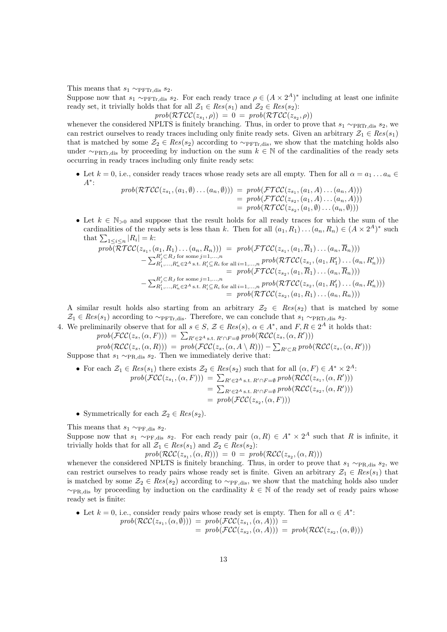This means that  $s_1 \sim_{\text{PFTr}}$  dis  $s_2$ .

Suppose now that  $s_1 \sim_{\text{PFTr,dis}} s_2$ . For each ready trace  $\rho \in (A \times 2^A)^*$  including at least one infinite ready set, it trivially holds that for all  $\mathcal{Z}_1 \in Res(s_1)$  and  $\mathcal{Z}_2 \in Res(s_2)$ :

 $prob(\mathcal{RTCC}(z_{s_1}, \rho)) = 0 = prob(\mathcal{RTCC}(z_{s_2}, \rho))$ 

whenever the considered NPLTS is finitely branching. Thus, in order to prove that  $s_1 \sim_{\text{PRTr,dis}} s_2$ , we can restrict ourselves to ready traces including only finite ready sets. Given an arbitrary  $\mathcal{Z}_1 \in Res(s_1)$ that is matched by some  $\mathcal{Z}_2 \in Res(s_2)$  according to  $\sim_{\text{PFTr,dis}}$ , we show that the matching holds also under  $\sim_{\text{PRTr,dis}}$  by proceeding by induction on the sum  $k \in \mathbb{N}$  of the cardinalities of the ready sets occurring in ready traces including only finite ready sets:

• Let  $k = 0$ , i.e., consider ready traces whose ready sets are all empty. Then for all  $\alpha = a_1 \dots a_n \in$ A<sup>∗</sup> :

$$
prob(\mathcal{RTCC}(z_{s_1}, (a_1, \emptyset) \dots (a_n, \emptyset))) = prob(\mathcal{FTCC}(z_{s_1}, (a_1, A) \dots (a_n, A)))
$$
  
= prob(\mathcal{FTCC}(z\_{s\_2}, (a\_1, A) \dots (a\_n, A)))  
= prob(\mathcal{RTCC}(z\_{s\_2}, (a\_1, \emptyset) \dots (a\_n, \emptyset)))

• Let  $k \in \mathbb{N}_{\geq 0}$  and suppose that the result holds for all ready traces for which the sum of the cardinalities of the ready sets is less than k. Then for all  $(a_1, R_1) \dots (a_n, R_n) \in (A \times 2^A)^*$  such that  $\sum_{1 \leq i \leq n} |R_i| = k$ :

$$
prob(\overline{RTCC}(z_{s_1}, (a_1, R_1) \dots (a_n, R_n))) = prob(\mathcal{FTCC}(z_{s_1}, (a_1, \overline{R}_1) \dots (a_n, \overline{R}_n)))
$$
  
\n
$$
- \sum_{R'_1, ..., R'_n \in 2^A}^{R'_j \subset R_J \text{ for some } j=1, ..., n} prob(\mathcal{FTCC}(z_{s_1}, (a_1, R'_1) \dots (a_n, R'_n)))
$$
  
\n
$$
= prob(\mathcal{FTCC}(z_{s_2}, (a_1, \overline{R}_1) \dots (a_n, \overline{R}_n)))
$$
  
\n
$$
- \sum_{R'_1, ..., R'_n \in 2^A}^{R'_j \subset R_J \text{ for some } j=1, ..., n} prob(\mathcal{RTCC}(z_{s_2}, (a_1, R'_1) \dots (a_n, R'_n)))
$$
  
\n
$$
= prob(\mathcal{RTCC}(z_{s_2}, (a_1, R_1) \dots (a_n, R_n)))
$$
  
\n
$$
= prob(\mathcal{RTCC}(z_{s_2}, (a_1, R_1) \dots (a_n, R_n)))
$$

A similar result holds also starting from an arbitrary  $\mathcal{Z}_2 \in Res(s_2)$  that is matched by some  $\mathcal{Z}_1 \in Res(s_1)$  according to ∼PFTr,dis. Therefore, we can conclude that  $s_1 \sim_{\text{PRTr,dis}} s_2$ .

4. We preliminarily observe that for all  $s \in S$ ,  $\mathcal{Z} \in Res(s)$ ,  $\alpha \in A^*$ , and  $F, R \in 2^A$  it holds that:  $prob(\mathcal{FCC}(z_s, (\alpha, F))) = \sum_{R' \in 2^A \text{ s.t. } R' \cap F = \emptyset} prob(\mathcal{RCC}(z_s, (\alpha, R')))$ 

 $prob(\mathcal{RCC}(z_s, (\alpha, R))) = prob(\mathcal{FCC}(z_s, (\alpha, A \setminus R))) - \sum_{R' \subset R} prob(\mathcal{RCC}(z_s, (\alpha, R')))$ Suppose that  $s_1 \sim_{PR, dis} s_2$ . Then we immediately derive that:

• For each 
$$
\mathcal{Z}_1 \in Res(s_1)
$$
 there exists  $\mathcal{Z}_2 \in Res(s_2)$  such that for all  $(\alpha, F) \in A^* \times 2^A$ :  $prob(\mathcal{FCC}(z_{s_1}, (\alpha, F))) = \sum_{R' \in 2^A \text{ s.t. } R' \cap F = \emptyset} prob(\mathcal{RCC}(z_{s_1}, (\alpha, R')))$  $= \sum_{R' \in 2^A \text{ s.t. } R' \cap F = \emptyset} prob(\mathcal{RCC}(z_{s_2}, (\alpha, R')))$  $= prob(\mathcal{FCC}(z_{s_2}, (\alpha, F)))$ 

• Symmetrically for each  $\mathcal{Z}_2 \in Res(s_2)$ .

This means that  $s_1 \sim_{\text{PF-dis}} s_2$ .

Suppose now that  $s_1 \sim_{PF, dis} s_2$ . For each ready pair  $(\alpha, R) \in A^* \times 2^A$  such that R is infinite, it trivially holds that for all  $\mathcal{Z}_1 \in Res(s_1)$  and  $\mathcal{Z}_2 \in Res(s_2)$ :

$$
prob(\mathcal{RCC}(z_{s_1},(\alpha,R))) = 0 = prob(\mathcal{RCC}(z_{s_2},(\alpha,R)))
$$

whenever the considered NPLTS is finitely branching. Thus, in order to prove that  $s_1 \sim_{PR, dis} s_2$ , we can restrict ourselves to ready pairs whose ready set is finite. Given an arbitrary  $\mathcal{Z}_1 \in Res(s_1)$  that is matched by some  $\mathcal{Z}_2 \in Res(s_2)$  according to  $\sim_{PF,dis}$ , we show that the matching holds also under  $\sim_{\text{PR-dis}}$  by proceeding by induction on the cardinality  $k \in \mathbb{N}$  of the ready set of ready pairs whose ready set is finite:

• Let 
$$
k = 0
$$
, i.e., consider ready pairs whose ready set is empty. Then for all  $\alpha \in A^*$ :  
\n
$$
prob(\mathcal{RCC}(z_{s_1}, (\alpha, \emptyset))) = prob(\mathcal{FCC}(z_{s_1}, (\alpha, A))) = prob(\mathcal{FCC}(z_{s_2}, (\alpha, A))) = prob(\mathcal{RCC}(z_{s_2}, (\alpha, \emptyset)))
$$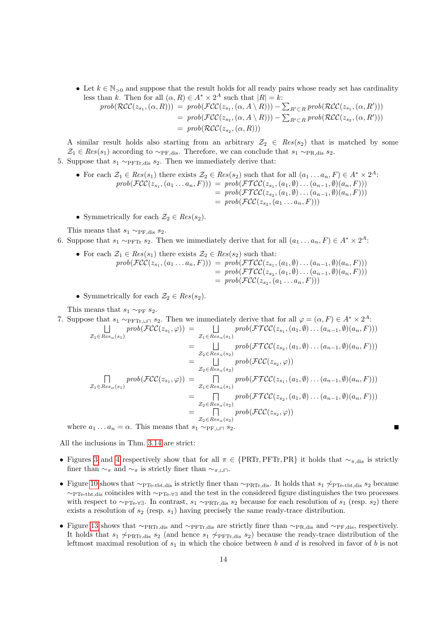• Let  $k \in \mathbb{N}_{\geq 0}$  and suppose that the result holds for all ready pairs whose ready set has cardinality less than k. Then for all  $(\alpha, R) \in A^* \times 2^A$  such that  $|R| = k$ :

$$
prob(\mathcal{RCC}(z_{s_1}, (\alpha, R))) = prob(\mathcal{FCC}(z_{s_1}, (\alpha, A \setminus R))) - \sum_{R' \subset R} prob(\mathcal{RCC}(z_{s_1}, (\alpha, R')))
$$
  
= prob(\mathcal{FCC}(z\_{s\_2}, (\alpha, A \setminus R))) - \sum\_{R' \subset R} prob(\mathcal{RCC}(z\_{s\_2}, (\alpha, R')))  
= prob(\mathcal{RCC}(z\_{s\_2}, (\alpha, R)))

A similar result holds also starting from an arbitrary  $\mathcal{Z}_2 \in Res(s_2)$  that is matched by some  $\mathcal{Z}_1 \in Res(s_1)$  according to  $\sim_{PF,dis}$ . Therefore, we can conclude that  $s_1 \sim_{PR,dis} s_2$ .

5. Suppose that  $s_1 \sim_{\text{PFTr,dis}} s_2$ . Then we immediately derive that:

- For each  $\mathcal{Z}_1 \in Res(s_1)$  there exists  $\mathcal{Z}_2 \in Res(s_2)$  such that for all  $(a_1 \dots a_n, F) \in A^* \times 2^A$ :  $prob(\mathcal{FCC}(z_{s_1}, (a_1 \ldots a_n, F))) = prob(\mathcal{FTCC}(z_{s_1}, (a_1, \emptyset) \ldots (a_{n-1}, \emptyset) (a_n, F)))$  $= prob(\mathcal{FTCC}(z_{s_2}, (a_1, \emptyset) \ldots (a_{n-1}, \emptyset)(a_n, F)))$  $= prob(\mathcal{FCC}(z_{s_2}, (a_1 \ldots a_n, F)))$
- Symmetrically for each  $\mathcal{Z}_2 \in Res(s_2)$ .

This means that  $s_1 \sim_{\text{PF,dis}} s_2$ .

6. Suppose that  $s_1 \sim_{\text{PFTr}} s_2$ . Then we immediately derive that for all  $(a_1 \ldots a_n, F) \in A^* \times 2^A$ .

- For each  $\mathcal{Z}_1 \in Res(s_1)$  there exists  $\mathcal{Z}_2 \in Res(s_2)$  such that:  $prob(\mathcal{FCC}(z_{s_1}, (a_1 \ldots a_n, F))) = prob(\mathcal{FTCC}(z_{s_1}, (a_1, \emptyset) \ldots (a_{n-1}, \emptyset) (a_n, F)))$  $= prob(\mathcal{FTCC}(z_{s_2}, (a_1, \emptyset) \ldots (a_{n-1}, \emptyset)(a_n, F)))$  $= prob(\mathcal{FCC}(z_{s_2}, (a_1 \ldots a_n, F)))$
- Symmetrically for each  $\mathcal{Z}_2 \in Res(s_2)$ .

This means that  $s_1 \sim_{\text{PF}} s_2$ .

7. Suppose that 
$$
s_1 \sim_{\text{PFT}_1, \sqcup \sqcap} s_2
$$
. Then we immediately derive that for all  $\varphi = (\alpha, F) \in A^* \times 2^A$ :  
\n
$$
\begin{aligned}\n\mathcal{L}_1 \in Res_{\alpha}(s_1) & \text{prob}(\mathcal{FCC}(z_{s_1}, \varphi)) = \bigsqcup_{\mathcal{Z}_1 \in Res_{\alpha}(s_1)} \text{prob}(\mathcal{FTCC}(z_{s_1}, (a_1, \emptyset) \dots (a_{n-1}, \emptyset)(a_n, F))) \\
&= \bigsqcup_{\mathcal{Z}_2 \in Res_{\alpha}(s_2)} \text{prob}(\mathcal{FTCC}(z_{s_2}, (a_1, \emptyset) \dots (a_{n-1}, \emptyset)(a_n, F))) \\
&= \bigsqcup_{\mathcal{Z}_2 \in Res_{\alpha}(s_2)} \text{prob}(\mathcal{FCC}(z_{s_2}, \varphi)) \\
\prod_{\mathcal{Z}_1 \in Res_{\alpha}(s_1)} \text{prob}(\mathcal{FCC}(z_{s_1}, \varphi)) = \prod_{\mathcal{Z}_1 \in Res_{\alpha}(s_1)} \text{prob}(\mathcal{FTCC}(z_{s_1}, (a_1, \emptyset) \dots (a_{n-1}, \emptyset)(a_n, F))) \\
&= \prod_{\mathcal{Z}_2 \in Res_{\alpha}(s_2)} \text{prob}(\mathcal{FTCC}(z_{s_2}, (a_1, \emptyset) \dots (a_{n-1}, \emptyset)(a_n, F))) \\
&= \prod_{\mathcal{Z}_2 \in Res_{\alpha}(s_2)} \text{prob}(\mathcal{FCC}(z_{s_2}, \varphi)) \\
\end{aligned}
$$

where  $a_1 \dots a_n = \alpha$ . This means that  $s_1 \sim_{\text{PF}, \sqcup \sqcap} s_2$ .

All the inclusions in Thm. [3.14](#page-10-0) are strict:

- Figures [3](#page-5-0) and [4](#page-5-1) respectively show that for all  $\pi \in \{PRTr, PFTr, PR\}$  it holds that  $\sim_{\pi,\text{dis}}$  is strictly finer than  $\sim_{\pi}$  and  $\sim_{\pi}$  is strictly finer than  $\sim_{\pi,\square}\cap$ .
- Figure [10](#page-8-0) shows that  $\sim_{\text{PTe-tbt,dis}}$  is strictly finer than  $\sim_{\text{PRTr,dis}}$ . It holds that  $s_1 \not\sim_{\text{PTe-tbt,dis}} s_2$  because ∼PTe-tbt,dis coincides with ∼PTe-∀∃ and the test in the considered figure distinguishes the two processes with respect to  $\sim_{\text{PTe-V}}$ . In contrast,  $s_1 \sim_{\text{PRTr,dis}} s_2$  because for each resolution of  $s_1$  (resp.  $s_2$ ) there exists a resolution of  $s_2$  (resp.  $s_1$ ) having precisely the same ready-trace distribution.
- Figure [13](#page-14-0) shows that  $\sim_{\text{PRTr,dis}}$  and  $\sim_{\text{PFTr,dis}}$  are strictly finer than  $\sim_{\text{PR,dis}}$  and  $\sim_{\text{PF,dis}}$ , respectively. It holds that  $s_1 \not\sim_{\text{PRTr},\text{dis}} s_2$  (and hence  $s_1 \not\sim_{\text{PFTr},\text{dis}} s_2$ ) because the ready-trace distribution of the leftmost maximal resolution of  $s_1$  in which the choice between b and d is resolved in favor of b is not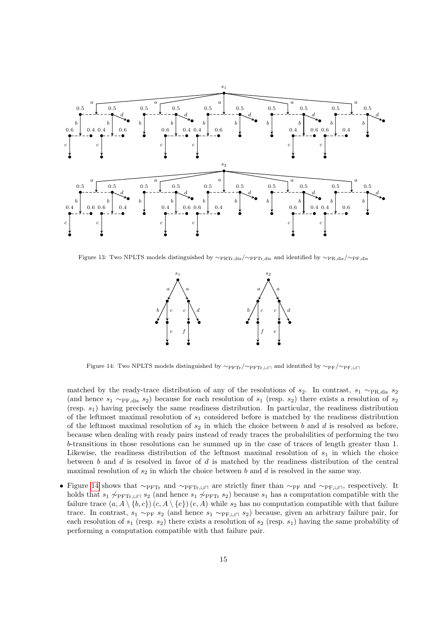

<span id="page-14-0"></span>Figure 13: Two NPLTS models distinguished by ∼PRTr,dis/∼PFTr,dis and identified by ∼PR,dis/∼PF,dis



<span id="page-14-1"></span>Figure 14: Two NPLTS models distinguished by  $\sim_{\text{PFTr}}/\sim_{\text{PFTr},\perp\parallel\Box}$  and identified by  $\sim_{\text{PF}}/\sim_{\text{PFTr},\perp\parallel\Box}$ 

matched by the ready-trace distribution of any of the resolutions of  $s_2$ . In contrast,  $s_1 \sim_{\text{PR-dis}} s_2$ (and hence  $s_1 \sim_{\text{PF-dis}} s_2$ ) because for each resolution of  $s_1$  (resp.  $s_2$ ) there exists a resolution of  $s_2$ (resp.  $s_1$ ) having precisely the same readiness distribution. In particular, the readiness distribution of the leftmost maximal resolution of  $s_1$  considered before is matched by the readiness distribution of the leftmost maximal resolution of  $s_2$  in which the choice between b and d is resolved as before, because when dealing with ready pairs instead of ready traces the probabilities of performing the two b-transitions in those resolutions can be summed up in the case of traces of length greater than 1. Likewise, the readiness distribution of the leftmost maximal resolution of  $s<sub>1</sub>$  in which the choice between b and d is resolved in favor of d is matched by the readiness distribution of the central maximal resolution of  $s_2$  in which the choice between b and d is resolved in the same way.

• Figure [14](#page-14-1) shows that ∼ $\sim_{\text{PFTr}}$  and ∼ $\sim_{\text{PFTr},\perp\Box\Box}$  are strictly finer than ∼ $\sim_{\text{PF}}$  and ∼ $\sim_{\text{PF},\perp\Box\Box}$ , respectively. It holds that  $s_1 \not\sim_{\text{PFTr},\perp \square} s_2$  (and hence  $s_1 \not\sim_{\text{PFTr}} s_2$ ) because  $s_1$  has a computation compatible with the failure trace  $(a, A \setminus \{b, c\})$   $(c, A \setminus \{e\})$   $(e, A)$  while  $s_2$  has no computation compatible with that failure trace. In contrast,  $s_1 \sim_{\text{PF}} s_2$  (and hence  $s_1 \sim_{\text{PF},\sqcup \sqcap} s_2$ ) because, given an arbitrary failure pair, for each resolution of  $s_1$  (resp.  $s_2$ ) there exists a resolution of  $s_2$  (resp.  $s_1$ ) having the same probability of performing a computation compatible with that failure pair.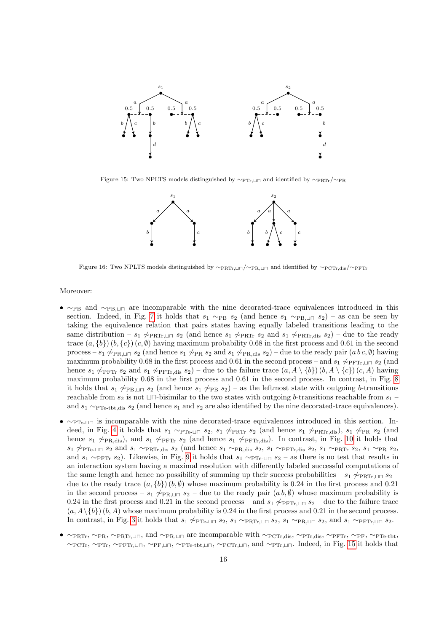

Figure 15: Two NPLTS models distinguished by  $\sim_{\text{PTr},\perp\parallel\Box}$  and identified by  $\sim_{\text{PRTr}}/\sim_{\text{PR}}$ 

<span id="page-15-0"></span>

<span id="page-15-1"></span>Figure 16: Two NPLTS models distinguished by ∼PRTr,tu/∼PR,tu and identified by ∼PCTr,dis/∼PFTr

#### Moreover:

- $~\sim_{PB}$  and  $~\sim_{PB,\perp}$  are incomparable with the nine decorated-trace equivalences introduced in this section. Indeed, in Fig. [7](#page-7-0) it holds that  $s_1 \sim_{PB} s_2$  (and hence  $s_1 \sim_{PB,\Box\Box} s_2$ ) – as can be seen by taking the equivalence relation that pairs states having equally labeled transitions leading to the same distribution –  $s_1 \not\sim_{\text{PRTr},\sqcup \sqcap} s_2$  (and hence  $s_1 \not\sim_{\text{PRTr}} s_2$  and  $s_1 \not\sim_{\text{PRTr},\text{dis}} s_2$ ) – due to the ready trace  $(a, \{b\})$   $(b, \{c\})$   $(c, \emptyset)$  having maximum probability 0.68 in the first process and 0.61 in the second process – s<sub>1</sub>  $\sim$ <sub>PR</sub>, $\ln$  s<sub>2</sub> (and hence s<sub>1</sub>  $\sim$ <sub>PR</sub> s<sub>2</sub> and s<sub>1</sub>  $\sim$ <sub>PR</sub>,d<sub>is</sub> s<sub>2</sub>) – due to the ready pair (a b c, ∅) having maximum probability 0.68 in the first process and 0.61 in the second process – and  $s_1 \not\sim_{\text{PFTr}, \perp \sqcup \sqcap} s_2$  (and hence  $s_1 \not\sim_{\text{PFTr}} s_2$  and  $s_1 \not\sim_{\text{PFTr,dis}} s_2$ ) – due to the failure trace  $(a, A \setminus \{b\}) (b, A \setminus \{c\}) (c, A)$  having maximum probability 0.68 in the first process and 0.61 in the second process. In contrast, in Fig. [8](#page-7-1) it holds that  $s_1 \not\sim_{PB,\sqcup \sqcap} s_2$  (and hence  $s_1 \not\sim_{PB} s_2$ ) – as the leftmost state with outgoing b-transitions reachable from  $s_2$  is not  $\Box \Box$ -bisimilar to the two states with outgoing b-transitions reachable from  $s_1$  – and  $s_1 \sim_{\text{PPTe-tbt,dis}} s_2$  (and hence  $s_1$  and  $s_2$  are also identified by the nine decorated-trace equivalences).
- $\sim$ PTe-tu is incomparable with the nine decorated-trace equivalences introduced in this section. In-deed, in Fig. [4](#page-5-1) it holds that  $s_1 \sim_{\text{PTe-LI}} s_2$ ,  $s_1 \not\sim_{\text{PRTr}} s_2$  (and hence  $s_1 \not\sim_{\text{PRTr,dis}} s_1 \not\sim_{\text{PR}} s_2$  (and hence  $s_1 \not\sim_{\text{PR-dis}}$ , and  $s_1 \not\sim_{\text{PFTr}} s_2$  (and hence  $s_1 \not\sim_{\text{PFTr-dis}}$ ). In contrast, in Fig. [10](#page-8-0) it holds that  $s_1 \not\sim_{\text{PTe-}\sqcup \sqcap} s_2$  and  $s_1 \sim_{\text{PRTr,dis}} s_2$  (and hence  $s_1 \sim_{\text{PR,dis}} s_2$ ,  $s_1 \sim_{\text{PTTr,dis}} s_2$ ,  $s_1 \sim_{\text{PRTr}} s_2$ ,  $s_1 \sim_{\text{PR}} s_2$ , and  $s_1 \sim_{\text{PFTr}} s_2$ ). Likewise, in Fig. [9](#page-7-2) it holds that  $s_1 \sim_{\text{PTe-II}} s_2$  – as there is no test that results in an interaction system having a maximal resolution with differently labeled successful computations of the same length and hence no possibility of summing up their success probabilities – s<sub>1</sub>  $\sqrt{\text{PRTr}}$ ,  $\Box$  n s<sub>2</sub> – due to the ready trace  $(a, \{b\}) (b, \emptyset)$  whose maximum probability is 0.24 in the first process and 0.21 in the second process –  $s_1 \not\sim_{PR,\sqcup \sqcap} s_2$  – due to the ready pair  $(a, b, \emptyset)$  whose maximum probability is 0.24 in the first process and 0.21 in the second process – and  $s_1 \not\sim_{\text{PFTr},\sqcup \sqcap} s_2$  – due to the failure trace  $(a, A \setminus \{b\}) (b, A)$  whose maximum probability is 0.24 in the first process and 0.21 in the second process. In contrast, in Fig. [3](#page-5-0) it holds that  $s_1 \not\sim_{\text{PTe-II}} s_2$ ,  $s_1 \sim_{\text{PRTr},\perp \sqcap} s_2$ ,  $s_1 \sim_{\text{PR},\perp \sqcap} s_2$ , and  $s_1 \sim_{\text{PFTr},\perp \sqcap} s_2$ .
- $\sim_{\text{PRTr}}, \sim_{\text{PRTr},\sqcup\sqcap}$ , and  $\sim_{\text{PR},\sqcup\sqcap}$  are incomparable with  $\sim_{\text{PCTr},\text{dis}}, \sim_{\text{PTr},\text{dis}}, \sim_{\text{PFTr}}, \sim_{\text{PF}}, \sim_{\text{PPr}-\text{tot}},$  $\sim$ PCTr,  $\sim$ PTr,  $\sim$ PFTr,⊔ $\sim$ PT $_{\rm F, \perp}$ ,  $\sim$ PTe-tbt,⊔ $\sim$ ,  $\sim$ PCTr,⊔ $\sim$ , and  $\sim$ PTr, $\perp$  $\sim$ . Indeed, in Fig. [15](#page-15-0) it holds that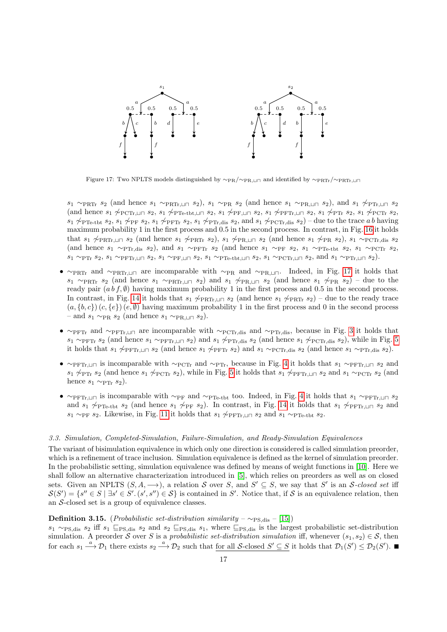

<span id="page-16-0"></span>Figure 17: Two NPLTS models distinguished by  $\sim_{PR} / \sim_{PR, \perp}$  and identified by  $\sim_{PRTr}/\sim_{PRTr, \perp}$ 

 $s_1 \sim_{\text{PRTr}} s_2$  (and hence  $s_1 \sim_{\text{PRTr},\sqcup \sqcap} s_2$ ),  $s_1 \sim_{\text{PR}} s_2$  (and hence  $s_1 \sim_{\text{PR},\sqcup \sqcap} s_2$ ), and  $s_1 \not\sim_{\text{PTr},\sqcup \sqcap} s_2$ (and hence  $s_1 \not\sim_{\text{PCTr},\sqcup \sqcap} s_2$ ,  $s_1 \not\sim_{\text{PTe-tbt},\sqcup \sqcap} s_2$ ,  $s_1 \not\sim_{\text{PFTr},\sqcup \sqcap} s_2$ ,  $s_1 \not\sim_{\text{PCTr}} s_1$ ,  $\not\sim_{\text{PCTr}} s_2$ ,  $s_1 \not\sim_{\text{PCTr}} s_2$ ,  $s_1 \not\sim_{\text{PTe-tbt}} s_2$ ,  $s_1 \not\sim_{\text{PFT}} s_2$ ,  $s_1 \not\sim_{\text{PTr},\text{dis}} s_2$ , and  $s_1 \not\sim_{\text{PCTr},\text{dis}} s_2$ ) – due to the trace a b having maximum probability 1 in the first process and 0.5 in the second process. In contrast, in Fig. [16](#page-15-1) it holds that  $s_1 \not\sim_{\text{PRTr},\perp \sqcap} s_2$  (and hence  $s_1 \not\sim_{\text{PRTr}} s_2$ ),  $s_1 \not\sim_{\text{PRTr},\perp \sqcap} s_2$  (and hence  $s_1 \not\sim_{\text{PRT}} s_2$ ),  $s_1 \sim_{\text{PCTr},\text{dis}} s_2$ (and hence  $s_1 \sim_{\text{PTr,dis}} s_2$ ), and  $s_1 \sim_{\text{PFTr}} s_2$  (and hence  $s_1 \sim_{\text{PF}} s_2$ ,  $s_1 \sim_{\text{PTe-tbt}} s_2$ ,  $s_1 \sim_{\text{PCTr}} s_2$ ,  $s_1 \sim_{\text{PTr}} s_2$ ,  $s_1 \sim_{\text{PFTr},\sqcup \sqcap} s_2$ ,  $s_1 \sim_{\text{FP}} s_2$ ,  $s_1 \sim_{\text{TP-}tbt,\sqcup \sqcap} s_2$ ,  $s_1 \sim_{\text{PCTr},\sqcup \sqcap} s_2$ , and  $s_1 \sim_{\text{PTr},\sqcup \sqcap} s_2$ ).

- $\sim_{\text{PRTr}}$  and  $\sim_{\text{PRTr},\sqcup \sqcap}$  are incomparable with  $\sim_{\text{PR}}$  and  $\sim_{\text{PR},\sqcup \sqcap}$ . Indeed, in Fig. [17](#page-16-0) it holds that  $s_1 \sim_{\text{PRTr}} s_2$  (and hence  $s_1 \sim_{\text{PRTr},\sqcup \sqcap} s_2$ ) and  $s_1 \not\sim_{\text{PR},\sqcup \sqcap} s_2$  (and hence  $s_1 \not\sim_{\text{PR}} s_2$ ) – due to the ready pair  $(a b f, \emptyset)$  having maximum probability 1 in the first process and 0.5 in the second process. In contrast, in Fig. [14](#page-14-1) it holds that  $s_1 \not\sim_{\text{PRTr},\sqcup \sqcap} s_2$  (and hence  $s_1 \not\sim_{\text{PRTr}} s_2$ ) – due to the ready trace  $(a, {b, c}) (c, {e}) (e, \emptyset)$  having maximum probability 1 in the first process and 0 in the second process – and  $s_1 \sim_{PR} s_2$  (and hence  $s_1 \sim_{PR,\sqcup \sqcap} s_2$ ).
- ∼PFTr and ∼PFTr, und are incomparable with ∼PCTr, dis and ∼PTr, dis, because in Fig. [3](#page-5-0) it holds that  $s_1 \sim_{\text{PFTr}} s_2$  (and hence  $s_1 \sim_{\text{PFTr},\perp} s_2$ ) and  $s_1 \not\sim_{\text{PTTr},\text{dis}} s_2$  (and hence  $s_1 \not\sim_{\text{PCTr},\text{dis}} s_2$ ), while in Fig. [5](#page-6-0) it holds that  $s_1 \not\sim_{\text{PFTr},\perp\sqcap} s_2$  (and hence  $s_1 \not\sim_{\text{PFTr}} s_2$ ) and  $s_1 \sim_{\text{PCTr},\text{dis}} s_2$  (and hence  $s_1 \sim_{\text{PTr},\text{dis}} s_2$ ).
- $\sim_{\text{PFTr},\perp}$  is incomparable with  $\sim_{\text{PCTr}}$  and  $\sim_{\text{PTr}}$ , because in Fig. [4](#page-5-1) it holds that  $s_1 \sim_{\text{PFTr},\perp} s_2$  and  $s_1 \not\sim_{\text{PTr}} s_2$  (and hence  $s_1 \not\sim_{\text{PCTr}} s_2$ ), while in Fig. [5](#page-6-0) it holds that  $s_1 \not\sim_{\text{PFTr},\perp} s_2$  and  $s_1 \sim_{\text{PCTr}} s_2$  (and hence  $s_1 \sim_{\text{PTr}} s_2$ ).
- $\sim$ PFTr,u⊓ is incomparable with ∼PF and ∼PT<sub>e-tbt</sub> too. Indeed, in Fig. [4](#page-5-1) it holds that  $s_1 \sim_{\text{PFTr},\perp} s_2$ and s<sub>1</sub>  $\sim$ PTe-tbt s<sub>2</sub> (and hence s<sub>1</sub>  $\sim$ PF s<sub>2</sub>). In contrast, in Fig. [14](#page-14-1) it holds that s<sub>1</sub>  $\sim$ PFTr,⊔ $\sqcap$  s<sub>2</sub> and s<sub>1</sub> ∼<sub>PF</sub> s<sub>2</sub>. Likewise, in Fig. [11](#page-8-1) it holds that s<sub>1</sub>  $\varphi$ <sub>PFTr, ∟ $\Box$  s<sub>2</sub> and s<sub>1</sub> ∼<sub>PTe-tbt</sub> s<sub>2</sub>.</sub>

# 3.3. Simulation, Completed-Simulation, Failure-Simulation, and Ready-Simulation Equivalences

The variant of bisimulation equivalence in which only one direction is considered is called simulation preorder, which is a refinement of trace inclusion. Simulation equivalence is defined as the kernel of simulation preorder. In the probabilistic setting, simulation equivalence was defined by means of weight functions in [\[10\]](#page-27-9). Here we shall follow an alternative characterization introduced in [\[5\]](#page-27-10), which relies on preorders as well as on closed sets. Given an NPLTS  $(S, A, \longrightarrow)$ , a relation S over S, and  $S' \subseteq S$ , we say that S' is an S-closed set iff  $S(S') = \{s'' \in S \mid \exists s' \in S'. (s', s'') \in S\}$  is contained in S'. Notice that, if S is an equivalence relation, then an S-closed set is a group of equivalence classes.

# **Definition 3.15.** (*Probabilistic set-distribution similarity* –  $\sim$ <sub>PS,dis</sub> – [\[15\]](#page-28-4))

 $s_1 \sim_{PS,dis} s_2$  iff  $s_1 \subseteq_{PS,dis} s_2$  and  $s_2 \subseteq_{PS,dis} s_1$ , where  $\subseteq_{PS,dis}$  is the largest probabilistic set-distribution simulation. A preorder S over S is a probabilistic set-distribution simulation iff, whenever  $(s_1, s_2) \in S$ , then for each  $s_1 \stackrel{a}{\longrightarrow} \mathcal{D}_1$  there exists  $s_2 \stackrel{a}{\longrightarrow} \mathcal{D}_2$  such that for all S-closed  $S' \subseteq S$  it holds that  $\mathcal{D}_1(S') \leq \mathcal{D}_2(S')$ .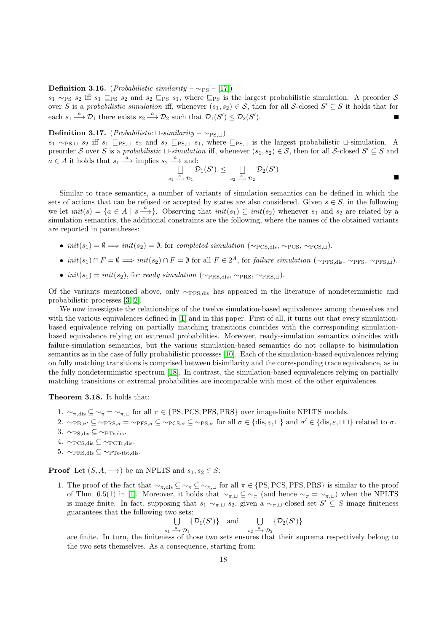#### Definition 3.16. (*Probabilistic similarity –*  $~\sim_{\text{PS}}$  – [\[17\]](#page-28-5))

 $s_1 \sim_{PS} s_2$  iff  $s_1 \subseteq_{PS} s_2$  and  $s_2 \subseteq_{PS} s_1$ , where  $\subseteq_{PS}$  is the largest probabilistic simulation. A preorder S over S is a probabilistic simulation iff, whenever  $(s_1, s_2) \in S$ , then for all S-closed  $S' \subseteq S$  it holds that for each  $s_1 \stackrel{a}{\longrightarrow} \mathcal{D}_1$  there exists  $s_2 \stackrel{a}{\longrightarrow} \mathcal{D}_2$  such that  $\mathcal{D}_1(S') \leq \mathcal{D}_2(S')$ . П

# **Definition 3.17.** (*Probabilistic*  $\sqcup$ -similarity – ∼<sub>PS, $\sqcup$ </sub>)

 $s_1 \sim_{PS,\sqcup} s_2$  iff  $s_1 \sqsubseteq_{PS,\sqcup} s_2$  and  $s_2 \sqsubseteq_{PS,\sqcup} s_1$ , where  $\sqsubseteq_{PS,\sqcup}$  is the largest probabilistic  $\sqcup$ -simulation. A preorder S over S is a probabilistic  $\sqcup$ -simulation iff, whenever  $(s_1, s_2) \in S$ , then for all S-closed  $S' \subseteq S$  and  $a \in A$  it holds that  $s_1 \stackrel{a}{\longrightarrow}$  implies  $s_2 \stackrel{a}{\longrightarrow}$  and:

$$
\bigcup_{s_1 \stackrel{a}{\longrightarrow} \mathcal{D}_1} \mathcal{D}_1(S') \leq \bigcup_{s_2 \stackrel{a}{\longrightarrow} \mathcal{D}_2} \mathcal{D}_2(S')
$$

Similar to trace semantics, a number of variants of simulation semantics can be defined in which the sets of actions that can be refused or accepted by states are also considered. Given  $s \in S$ , in the following we let  $init(s) = \{a \in A \mid s \stackrel{a}{\longrightarrow}\}.$  Observing that  $init(s_1) \subseteq init(s_2)$  whenever  $s_1$  and  $s_2$  are related by a simulation semantics, the additional constraints are the following, where the names of the obtained variants are reported in parentheses:

- $init(s_1) = \emptyset \Longrightarrow init(s_2) = \emptyset$ , for completed simulation ( $\sim$  pcs,  $\sim$  pcs,  $\sim$  pcs, $\sim$  hcs.
- $init(s_1) \cap F = \emptyset \implies init(s_2) \cap F = \emptyset$  for all  $F \in 2^A$ , for *failure simulation* ( $\sim_{PFS, dis}, \sim_{PFS, \sqcup} P$ .
- init(s<sub>1</sub>) = init(s<sub>2</sub>), for ready simulation ( $\sim_{\text{PRS}}$ ,  $\sim_{\text{PRS}}$ ,  $\sim_{\text{PRS},1}$ ).

Of the variants mentioned above, only ∼PFS,dis has appeared in the literature of nondeterministic and probabilistic processes [\[3,](#page-27-11) [2\]](#page-27-12).

We now investigate the relationships of the twelve simulation-based equivalences among themselves and with the various equivalences defined in [\[1\]](#page-27-0) and in this paper. First of all, it turns out that every simulationbased equivalence relying on partially matching transitions coincides with the corresponding simulationbased equivalence relying on extremal probabilities. Moreover, ready-simulation semantics coincides with failure-simulation semantics, but the various simulation-based semantics do not collapse to bisimulation semantics as in the case of fully probabilistic processes [\[10\]](#page-27-9). Each of the simulation-based equivalences relying on fully matching transitions is comprised between bisimilarity and the corresponding trace equivalence, as in the fully nondeterministic spectrum [\[18\]](#page-28-0). In contrast, the simulation-based equivalences relying on partially matching transitions or extremal probabilities are incomparable with most of the other equivalences.

<span id="page-17-0"></span>Theorem 3.18. It holds that:

- 1.  $\sim_{\pi,\text{dis}} \subseteq \sim_{\pi} = \sim_{\pi,\sqcup}$  for all  $\pi \in \{PS,PCS,PRS\}$  over image-finite NPLTS models.
- 2.  $\sim_{PB,\sigma'} \subseteq \sim_{PRS,\sigma} \cong \sim_{PFS,\sigma} \subseteq \sim_{PS,\sigma} \subseteq \sim_{PS,\sigma}$  for all  $\sigma \in \{\text{dis}, \varepsilon, \sqcup\}$  and  $\sigma' \in \{\text{dis}, \varepsilon, \sqcup\sqcap\}$  related to  $\sigma$ .
- 3.  $∼$ PS,dis ⊆  $∼$ PTr,dis.
- 4.  $∼$ PCS,dis ⊆  $∼$ PCTr,dis.
- 5.  $∼$ PRS,dis ⊆  $∼$ PTe-tbt,dis.

**Proof** Let  $(S, A, \longrightarrow)$  be an NPLTS and  $s_1, s_2 \in S$ :

1. The proof of the fact that  $\sim_{\pi,\text{dis}} \subseteq \sim_{\pi} \subseteq \sim_{\pi,\sqcup}$  for all  $\pi \in \{PS,PCS,PRS\}$  is similar to the proof of Thm. 6.5(1) in [\[1\]](#page-27-0). Moreover, it holds that  $\sim_{\pi,\square} \subseteq \sim_{\pi}$  (and hence  $\sim_{\pi} = \sim_{\pi,\square}$ ) when the NPLTS is image finite. In fact, supposing that  $s_1 \sim_{\pi,\square} s_2$ , given a  $\sim_{\pi,\square}$ -closed set  $S' \subseteq S$  image finiteness guarantees that the following two sets:

$$
\bigcup_{s_1 \stackrel{a}{\longrightarrow} \mathcal{D}_1} \{ \mathcal{D}_1(S') \} \quad \text{and} \quad \bigcup_{s_2 \stackrel{a}{\longrightarrow} \mathcal{D}_2} \{ \mathcal{D}_2(S') \}
$$

are finite. In turn, the finiteness of those two sets ensures that their suprema respectively belong to the two sets themselves. As a consequence, starting from: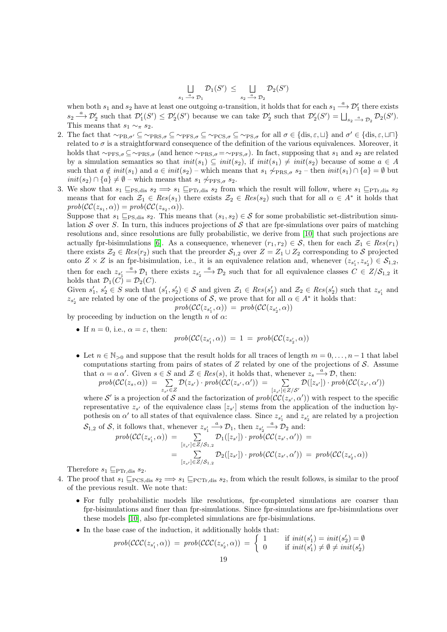$$
\bigcup_{s_1 \stackrel{a}{\longrightarrow} \mathcal{D}_1} \mathcal{D}_1(S') \le \bigcup_{s_2 \stackrel{a}{\longrightarrow} \mathcal{D}_2} \mathcal{D}_2(S')
$$

when both  $s_1$  and  $s_2$  have at least one outgoing a-transition, it holds that for each  $s_1 \stackrel{a}{\longrightarrow} \mathcal{D}'_1$  there exists  $s_2 \stackrel{a}{\longrightarrow} \mathcal{D}'_2$  such that  $\mathcal{D}'_1(S') \leq \mathcal{D}'_2(S')$  because we can take  $\mathcal{D}'_2$  such that  $\mathcal{D}'_2(S') = \bigsqcup_{s_2 \stackrel{a}{\longrightarrow} \mathcal{D}_2} \mathcal{D}_2(S')$ . This means that  $s_1 \sim_{\pi} s_2$ .

- 2. The fact that  $\sim_{\text{PB},\sigma'} \subseteq \sim_{\text{PRS},\sigma} \subseteq \sim_{\text{PFS},\sigma} \subseteq \sim_{\text{PS},\sigma} \subseteq \sim_{\text{PS},\sigma}$  for all  $\sigma \in \{\text{dis},\varepsilon,\sqcup\}$  and  $\sigma' \in \{\text{dis},\varepsilon,\sqcup\sqcap\}$ related to  $\sigma$  is a straightforward consequence of the definition of the various equivalences. Moreover, it holds that  $\sim_{\text{PFS},\sigma} \subseteq \sim_{\text{PRS},\sigma}$  (and hence  $\sim_{\text{PRS},\sigma} = \sim_{\text{PFS},\sigma}$ ). In fact, supposing that  $s_1$  and  $s_2$  are related by a simulation semantics so that  $init(s_1) \subseteq init(s_2)$ , if  $init(s_1) \neq init(s_2)$  because of some  $a \in A$ such that  $a \notin init(s_1)$  and  $a \in init(s_2)$  – which means that  $s_1 \not\sim_{\text{PRS}, \sigma} s_2$  – then  $init(s_1) \cap \{a\} = \emptyset$  but  $init(s_2) \cap \{a\} \neq \emptyset$  – which means that  $s_1 \not\sim_{PFS,\sigma} s_2$ .
- 3. We show that  $s_1 \subseteq_{PS, \text{dis}} s_2 \implies s_1 \subseteq_{PTr, \text{dis}} s_2$  from which the result will follow, where  $s_1 \subseteq_{PTr, \text{dis}} s_2$ means that for each  $\mathcal{Z}_1 \in Res(s_1)$  there exists  $\mathcal{Z}_2 \in Res(s_2)$  such that for all  $\alpha \in A^*$  it holds that  $prob(\mathcal{CC}(z_{s_1}, \alpha)) = prob(\mathcal{CC}(z_{s_2}, \alpha)).$

Suppose that  $s_1 \sqsubseteq_{PS,\text{dis}} s_2$ . This means that  $(s_1, s_2) \in S$  for some probabilistic set-distribution simulation S over S. In turn, this induces projections of S that are fpr-simulations over pairs of matching resolutions and, since resolutions are fully probabilistic, we derive from [\[10\]](#page-27-9) that such projections are actually fpr-bisimulations [\[6\]](#page-27-13). As a consequence, whenever  $(r_1, r_2) \in S$ , then for each  $\mathcal{Z}_1 \in Res(r_1)$ there exists  $\mathcal{Z}_2 \in Res(r_2)$  such that the preorder  $\mathcal{S}_{1,2}$  over  $Z = Z_1 \cup Z_2$  corresponding to S projected onto  $Z \times Z$  is an fpr-bisimulation, i.e., it is an equivalence relation and, whenever  $(z_{s_1'}, z_{s_2'}) \in S_{1,2}$ , then for each  $z_{s_1'} \xrightarrow{a} \mathcal{D}_1$  there exists  $z_{s_2'} \xrightarrow{a} \mathcal{D}_2$  such that for all equivalence classes  $C \in Z/\mathcal{S}_{1,2}$  it holds that  $\mathcal{D}_1(C) = \mathcal{D}_2(C)$ .

Given  $s'_1, s'_2 \in S$  such that  $(s'_1, s'_2) \in S$  and given  $\mathcal{Z}_1 \in Res(s'_1)$  and  $\mathcal{Z}_2 \in Res(s'_2)$  such that  $z_{s'_1}$  and  $z_{s'_2}$  are related by one of the projections of S, we prove that for all  $\alpha \in A^*$  it holds that:

$$
prob(\mathcal{CC}(z_{s'_1}, \alpha)) = prob(\mathcal{CC}(z_{s'_2}, \alpha))
$$

by proceeding by induction on the length n of  $\alpha$ :

• If  $n = 0$ , i.e.,  $\alpha = \varepsilon$ , then:

$$
prob(\mathcal{CC}(z_{s_1'}, \alpha)) = 1 = prob(\mathcal{CC}(z_{s_2'}, \alpha))
$$

• Let  $n \in \mathbb{N}_{>0}$  and suppose that the result holds for all traces of length  $m = 0, \ldots, n-1$  that label computations starting from pairs of states of  $Z$  related by one of the projections of  $S$ . Assume that  $\alpha = a \alpha'$ . Given  $s \in S$  and  $\mathcal{Z} \in Res(s)$ , it holds that, whenever  $z_s \stackrel{a}{\longrightarrow} \mathcal{D}$ , then:

$$
prob(\mathcal{CC}(z_s, \alpha)) = \sum_{z_{s'} \in Z} \mathcal{D}(z_{s'}) \cdot prob(\mathcal{CC}(z_{s'}, \alpha')) = \sum_{[z_{s'}] \in Z/S'} \mathcal{D}([z_{s'}]) \cdot prob(\mathcal{CC}(z_{s'}, \alpha'))
$$

where S' is a projection of S and the factorization of  $prob(\mathcal{CC}(z_{s'}, \alpha'))$  with respect to the specific representative  $z_{s'}$  of the equivalence class  $[z_{s'}]$  stems from the application of the induction hypothesis on  $\alpha'$  to all states of that equivalence class. Since  $z_{s_1'}$  and  $z_{s_2'}$  are related by a projection  $S_{1,2}$  of S, it follows that, wh  $a \sim \mathcal{D}$  +1,  $a \cdot \frac{1}{2}$ 

$$
Sp_{1,2} \text{ of } S, \text{ it follows that, whenever } z_{s_1'} \longrightarrow D_1, \text{ then } z_{s_2'} \longrightarrow D_2 \text{ and:}
$$
\n
$$
prob(\mathcal{CC}(z_{s_1'}, \alpha)) = \sum_{[z_{s'}] \in Z/S_{1,2}} D_1([z_{s'}]) \cdot prob(\mathcal{CC}(z_{s'}, \alpha')) =
$$
\n
$$
= \sum_{[z_{s'}] \in Z/S_{1,2}} D_2([z_{s'}]) \cdot prob(\mathcal{CC}(z_{s'}, \alpha')) = prob(\mathcal{CC}(z_{s_2'}, \alpha))
$$

Therefore  $s_1 \sqsubseteq_{\text{PTr,dis}} s_2$ .

- 4. The proof that  $s_1 \subseteq PCS,dis$   $s_2 \Longrightarrow s_1 \subseteq PCTr,dis$   $s_2$ , from which the result follows, is similar to the proof of the previous result. We note that:
	- For fully probabilistic models like resolutions, fpr-completed simulations are coarser than fpr-bisimulations and finer than fpr-simulations. Since fpr-simulations are fpr-bisimulations over these models [\[10\]](#page-27-9), also fpr-completed simulations are fpr-bisimulations.
	- In the base case of the induction, it additionally holds that:

$$
prob(\mathcal{CCC}(z_{s'_1}, \alpha)) = prob(\mathcal{CCC}(z_{s'_2}, \alpha)) = \begin{cases} 1 & \text{if } init(s'_1) = init(s'_2) = \emptyset \\ 0 & \text{if } init(s'_1) \neq \emptyset \neq init(s'_2) \end{cases}
$$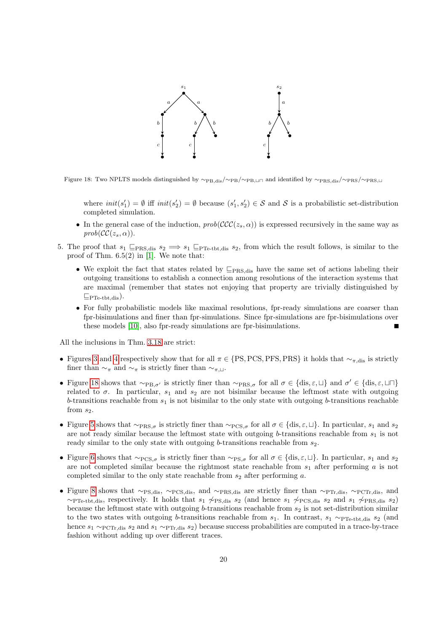

Figure 18: Two NPLTS models distinguished by ∼<sub>PB,dis</sub>/∼<sub>PB</sub>, $\omega_{\text{PB}}$  and identified by ∼PRS,dis/∼PRS, $\omega_{\text{PRS}}$ 

<span id="page-19-0"></span>where  $init(s'_1) = \emptyset$  iff  $init(s'_2) = \emptyset$  because  $(s'_1, s'_2) \in \mathcal{S}$  and  $\mathcal{S}$  is a probabilistic set-distribution completed simulation.

- In the general case of the induction,  $prob(\mathcal{CC}(z_s, \alpha))$  is expressed recursively in the same way as  $prob(\mathcal{CC}(z_s, \alpha)).$
- 5. The proof that  $s_1 \subseteq_{PRS,dis} s_2 \implies s_1 \subseteq_{PTe\text{-}tbt,dis} s_2$ , from which the result follows, is similar to the proof of Thm. 6.5(2) in [\[1\]](#page-27-0). We note that:
	- We exploit the fact that states related by  $\subseteq_{\text{PRS,dis}}$  have the same set of actions labeling their outgoing transitions to establish a connection among resolutions of the interaction systems that are maximal (remember that states not enjoying that property are trivially distinguished by  $E_{\text{PTe-tht,dis}})$ .
	- For fully probabilistic models like maximal resolutions, fpr-ready simulations are coarser than fpr-bisimulations and finer than fpr-simulations. Since fpr-simulations are fpr-bisimulations over these models [\[10\]](#page-27-9), also fpr-ready simulations are fpr-bisimulations.

All the inclusions in Thm. [3.18](#page-17-0) are strict:

- Figures [3](#page-5-0) and [4](#page-5-1) respectively show that for all  $\pi \in \{PS,PCS,PFS,PRS\}$  it holds that  $\sim_{\pi,dis}$  is strictly finer than  $\sim_{\pi}$  and  $\sim_{\pi}$  is strictly finer than  $\sim_{\pi, \perp}$ .
- Figure [18](#page-19-0) shows that  $\sim_{\text{PB},\sigma'}$  is strictly finer than  $\sim_{\text{PRS},\sigma}$  for all  $\sigma \in \{\text{dis},\varepsilon,\sqcup\}$  and  $\sigma' \in \{\text{dis},\varepsilon,\sqcup\sqcap\}$ related to  $\sigma$ . In particular,  $s_1$  and  $s_2$  are not bisimilar because the leftmost state with outgoing b-transitions reachable from  $s_1$  is not bisimilar to the only state with outgoing b-transitions reachable from  $s_2$ .
- Figure [5](#page-6-0) shows that  $\sim_{\text{PRS}, \sigma}$  is strictly finer than  $\sim_{\text{PCS}, \sigma}$  for all  $\sigma \in \{\text{dis}, \varepsilon, \bot\}$ . In particular,  $s_1$  and  $s_2$ are not ready similar because the leftmost state with outgoing b-transitions reachable from  $s_1$  is not ready similar to the only state with outgoing  $b$ -transitions reachable from  $s_2$ .
- Figure [6](#page-6-1) shows that  $\sim_{\text{PCS},\sigma}$  is strictly finer than  $\sim_{\text{PS},\sigma}$  for all  $\sigma \in \{\text{dis},\varepsilon,\sqcup\}$ . In particular,  $s_1$  and  $s_2$ are not completed similar because the rightmost state reachable from  $s_1$  after performing a is not completed similar to the only state reachable from  $s_2$  after performing a.
- Figure [8](#page-7-1) shows that  $\sim$ PS,dis,  $\sim$ PCS,dis, and  $\sim$ PRS,dis are strictly finer than  $\sim$ PTr,dis,  $\sim$ PCTr,dis, and  $~\sim$ PTe-tbt,dis, respectively. It holds that  $s_1 \not\sim$ PS,dis  $s_2$  (and hence  $s_1 \not\sim$ PCS,dis  $s_2$  and  $s_1 \not\sim$ PRS,dis  $s_2$ ) because the leftmost state with outgoing b-transitions reachable from  $s_2$  is not set-distribution similar to the two states with outgoing b-transitions reachable from  $s_1$ . In contrast,  $s_1 \sim_{\text{PP}_c\text{-}tbt,dis} s_2$  (and hence  $s_1 \sim_{\text{PCTr},\text{dis}} s_2$  and  $s_1 \sim_{\text{PTr},\text{dis}} s_2$ ) because success probabilities are computed in a trace-by-trace fashion without adding up over different traces.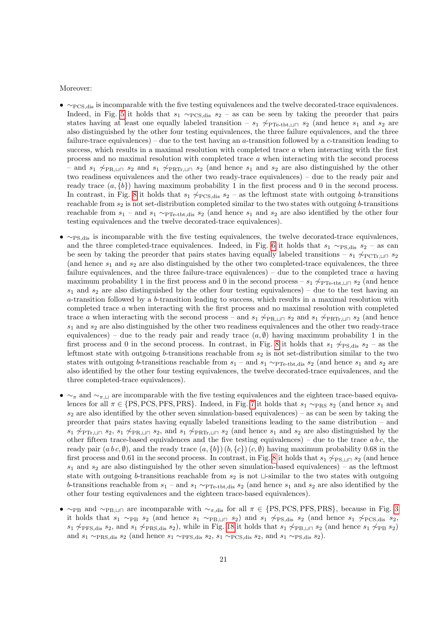Moreover:

- ∼PCS,dis is incomparable with the five testing equivalences and the twelve decorated-trace equivalences. Indeed, in Fig. [5](#page-6-0) it holds that  $s_1 \sim PCS$ , dis  $s_2$  – as can be seen by taking the preorder that pairs states having at least one equally labeled transition –  $s_1 \not\sim_{\text{PTe-tbt},\sqcup \sqcap} s_2$  (and hence  $s_1$  and  $s_2$  are also distinguished by the other four testing equivalences, the three failure equivalences, and the three failure-trace equivalences) – due to the test having an a-transition followed by a c-transition leading to success, which results in a maximal resolution with completed trace a when interacting with the first process and no maximal resolution with completed trace a when interacting with the second process and  $s_1 \nightharpoonup_{\text{PR},\perp\sqcap} s_2$  and  $s_1 \nightharpoonup_{\text{PRTr},\perp\sqcap} s_2$  (and hence  $s_1$  and  $s_2$  are also distinguished by the other two readiness equivalences and the other two ready-trace equivalences) – due to the ready pair and ready trace  $(a, \{b\})$  having maximum probability 1 in the first process and 0 in the second process. In contrast, in Fig. [8](#page-7-1) it holds that  $s_1 \not\sim_{\text{PCS},\text{dis}} s_2$  – as the leftmost state with outgoing b-transitions reachable from  $s_2$  is not set-distribution completed similar to the two states with outgoing b-transitions reachable from  $s_1$  – and  $s_1 \sim_{\text{PPTe-tbt,dis}} s_2$  (and hence  $s_1$  and  $s_2$  are also identified by the other four testing equivalences and the twelve decorated-trace equivalences).
- ∼PS,dis is incomparable with the five testing equivalences, the twelve decorated-trace equivalences, and the three completed-trace equivalences. Indeed, in Fig. [6](#page-6-1) it holds that  $s_1 \sim_{PS,\text{dis}} s_2 - \text{as can}$ be seen by taking the preorder that pairs states having equally labeled transitions – s<sub>1</sub>  $\sim$ PCTr,⊔ $\Box$  s<sub>2</sub> (and hence  $s_1$  and  $s_2$  are also distinguished by the other two completed-trace equivalences, the three failure equivalences, and the three failure-trace equivalences) – due to the completed trace  $a$  having maximum probability 1 in the first process and 0 in the second process –  $s_1 \not\sim_{\text{PP}_c-\text{tbt},\perp} s_2$  (and hence  $s_1$  and  $s_2$  are also distinguished by the other four testing equivalences) – due to the test having an  $a$ -transition followed by a  $b$ -transition leading to success, which results in a maximal resolution with completed trace a when interacting with the first process and no maximal resolution with completed trace a when interacting with the second process – and  $s_1 \not\sim_{\text{PR},\perp} s_2$  and  $s_1 \not\sim_{\text{PRTr},\perp} s_2$  (and hence  $s_1$  and  $s_2$  are also distinguished by the other two readiness equivalences and the other two ready-trace equivalences) – due to the ready pair and ready trace  $(a, \emptyset)$  having maximum probability 1 in the first process and 0 in the second process. In contrast, in Fig. [8](#page-7-1) it holds that  $s_1 \nsim_{\text{PS,dis}} s_2$  – as the leftmost state with outgoing b-transitions reachable from  $s_2$  is not set-distribution similar to the two states with outgoing b-transitions reachable from  $s_1$  – and  $s_1 \sim_{\text{PPTe-tbt,dis}} s_2$  (and hence  $s_1$  and  $s_2$  are also identified by the other four testing equivalences, the twelve decorated-trace equivalences, and the three completed-trace equivalences).
- $\sim$ π and  $\sim$ π,  $\perp$  are incomparable with the five testing equivalences and the eighteen trace-based equivalences for all  $\pi \in \{PS, PCS, PRS\}$ . Indeed, in Fig. [7](#page-7-0) it holds that  $s_1 \sim_{PRS} s_2$  (and hence  $s_1$  and  $s_2$  are also identified by the other seven simulation-based equivalences) – as can be seen by taking the preorder that pairs states having equally labeled transitions leading to the same distribution – and  $s_1 \not\sim_{\text{PTr},\perp \sqcap} s_2$ ,  $s_1 \not\sim_{\text{PRL}\sqcap} s_2$ , and  $s_1 \not\sim_{\text{PRTr},\perp \sqcap} s_2$  (and hence  $s_1$  and  $s_2$  are also distinguished by the other fifteen trace-based equivalences and the five testing equivalences) – due to the trace  $ab\,c$ , the ready pair  $(a b c, \emptyset)$ , and the ready trace  $(a, \{b\}) (b, \{c\}) (c, \emptyset)$  having maximum probability 0.68 in the first process and 0.61 in the second process. In contrast, in Fig. [8](#page-7-1) it holds that  $s_1 \not\sim_{PS,1} s_2$  (and hence  $s_1$  and  $s_2$  are also distinguished by the other seven simulation-based equivalences) – as the leftmost state with outgoing b-transitions reachable from  $s_2$  is not  $\sqcup$ -similar to the two states with outgoing b-transitions reachable from  $s_1$  – and  $s_1 \sim_{\text{PTe-tbt,dis}} s_2$  (and hence  $s_1$  and  $s_2$  are also identified by the other four testing equivalences and the eighteen trace-based equivalences).
- $\sim_{\text{PB}}$  and  $\sim_{\text{PB,LI}}$  are incomparable with  $\sim_{\pi,\text{dis}}$  for all  $\pi \in \{PS,PCS,PRS\}$ , because in Fig. [3](#page-5-0) it holds that  $s_1 \sim_{\text{PB}} s_2$  (and hence  $s_1 \sim_{\text{PB},\sqcup \sqcap} s_2$ ) and  $s_1 \not\sim_{\text{PS},\text{dis}} s_2$  (and hence  $s_1 \not\sim_{\text{PC},\text{dis}} s_2$ , s<sub>1</sub>  $\varphi$ <sub>PFS,dis</sub> s<sub>2</sub>, and s<sub>1</sub>  $\varphi$ <sub>PRS,dis</sub> s<sub>2</sub>), while in Fig. [18](#page-19-0) it holds that s<sub>1</sub>  $\varphi$ <sub>PB,⊔ $\Box$  s<sub>2</sub> (and hence s<sub>1</sub>  $\varphi$ <sub>PB</sub> s<sub>2</sub>)</sub> and  $s_1 \sim_{\text{PRS,dis}} s_2$  (and hence  $s_1 \sim_{\text{PFS,dis}} s_2$ ,  $s_1 \sim_{\text{PCS,dis}} s_2$ , and  $s_1 \sim_{\text{PS,dis}} s_2$ ).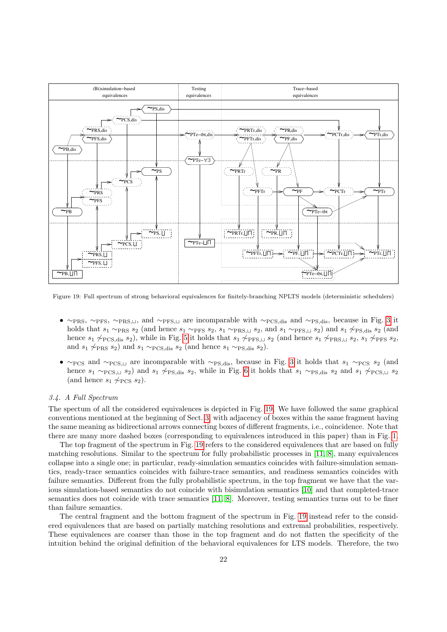

<span id="page-21-0"></span>Figure 19: Full spectrum of strong behavioral equivalences for finitely-branching NPLTS models (deterministic schedulers)

- ∼PRS, ∼PFS, ∼PRS,⊔, and ∼PFS,⊔ are incomparable with ∼PCS,dis and ∼PS,dis, because in Fig. [3](#page-5-0) it holds that  $s_1 \sim_{\text{PRS}} s_2$  (and hence  $s_1 \sim_{\text{PRS}} s_2$ ,  $s_1 \sim_{\text{PRS}, \perp} s_2$ , and  $s_1 \sim_{\text{PRS}, \perp} s_2$ ) and  $s_1 \not\sim_{\text{PS,dis}} s_2$  (and hence  $s_1 \not\sim_{\text{PCS},\text{dis}} s_2$ ), while in Fig. [5](#page-6-0) it holds that  $s_1 \not\sim_{\text{PFS},\sqcup} s_2$  (and hence  $s_1 \not\sim_{\text{PRS},\sqcup} s_2$ ,  $s_1 \not\sim_{\text{PFS}} s_2$ , and  $s_1 \not\sim_{\text{PRS}} s_2$ ) and  $s_1 \sim_{\text{PCS},\text{dis}} s_2$  (and hence  $s_1 \sim_{\text{PS},\text{dis}} s_2$ ).
- $\sim$ PCS and  $\sim$ PCS, $\perp$  are incomparable with  $\sim$ PS,dis, because in Fig. [3](#page-5-0) it holds that s<sub>1</sub> ∼PCS s<sub>2</sub> (and hence  $s_1 \sim_{\text{PCS},\sqcup} s_2$ ) and  $s_1 \not\sim_{\text{PS},\text{dis}} s_2$ , while in Fig. [6](#page-6-1) it holds that  $s_1 \sim_{\text{PS},\text{dis}} s_2$  and  $s_1 \not\sim_{\text{PCS},\sqcup} s_2$ (and hence  $s_1 \not\sim_{\text{PCS}} s_2$ ).

### 3.4. A Full Spectrum

The spectum of all the considered equivalences is depicted in Fig. [19.](#page-21-0) We have followed the same graphical conventions mentioned at the beginning of Sect. [3,](#page-3-0) with adjacency of boxes within the same fragment having the same meaning as bidirectional arrows connecting boxes of different fragments, i.e., coincidence. Note that there are many more dashed boxes (corresponding to equivalences introduced in this paper) than in Fig. [1.](#page-1-0)

The top fragment of the spectrum in Fig. [19](#page-21-0) refers to the considered equivalences that are based on fully matching resolutions. Similar to the spectrum for fully probabilistic processes in [\[11,](#page-27-7) [8\]](#page-27-8), many equivalences collapse into a single one; in particular, ready-simulation semantics coincides with failure-simulation semantics, ready-trace semantics coincides with failure-trace semantics, and readiness semantics coincides with failure semantics. Different from the fully probabilistic spectrum, in the top fragment we have that the various simulation-based semantics do not coincide with bisimulation semantics [\[10\]](#page-27-9) and that completed-trace semantics does not coincide with trace semantics [\[11,](#page-27-7) [8\]](#page-27-8). Moreover, testing semantics turns out to be finer than failure semantics.

The central fragment and the bottom fragment of the spectrum in Fig. [19](#page-21-0) instead refer to the considered equivalences that are based on partially matching resolutions and extremal probabilities, respectively. These equivalences are coarser than those in the top fragment and do not flatten the specificity of the intuition behind the original definition of the behavioral equivalences for LTS models. Therefore, the two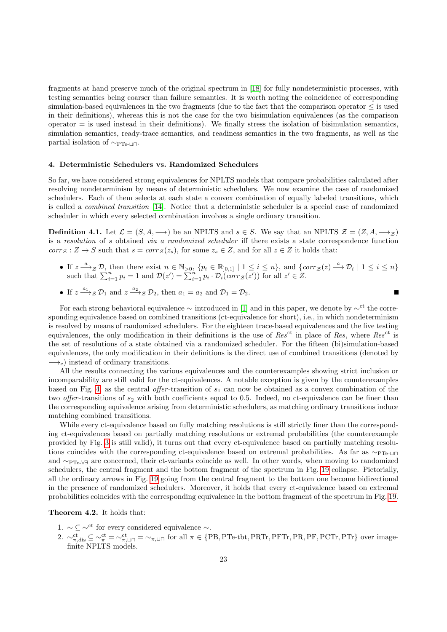fragments at hand preserve much of the original spectrum in [\[18\]](#page-28-0) for fully nondeterministic processes, with testing semantics being coarser than failure semantics. It is worth noting the coincidence of corresponding simulation-based equivalences in the two fragments (due to the fact that the comparison operator  $\leq$  is used in their definitions), whereas this is not the case for the two bisimulation equivalences (as the comparison  $\alpha$  operator  $=$  is used instead in their definitions). We finally stress the isolation of bisimulation semantics, simulation semantics, ready-trace semantics, and readiness semantics in the two fragments, as well as the partial isolation of  $\sim_{\text{PTe-II}}$ .

### <span id="page-22-0"></span>4. Deterministic Schedulers vs. Randomized Schedulers

So far, we have considered strong equivalences for NPLTS models that compare probabilities calculated after resolving nondeterminism by means of deterministic schedulers. We now examine the case of randomized schedulers. Each of them selects at each state a convex combination of equally labeled transitions, which is called a combined transition [\[14\]](#page-27-2). Notice that a deterministic scheduler is a special case of randomized scheduler in which every selected combination involves a single ordinary transition.

**Definition 4.1.** Let  $\mathcal{L} = (S, A, \rightarrow)$  be an NPLTS and  $s \in S$ . We say that an NPLTS  $\mathcal{Z} = (Z, A, \rightarrow)$ is a resolution of s obtained via a randomized scheduler iff there exists a state correspondence function  $corr_{\mathcal{Z}}: Z \to S$  such that  $s = corr_{\mathcal{Z}}(z_s)$ , for some  $z_s \in Z$ , and for all  $z \in Z$  it holds that:

- If  $z \stackrel{a}{\longrightarrow} z \mathcal{D}$ , then there exist  $n \in \mathbb{N}_{>0}$ ,  $\{p_i \in \mathbb{R}_{]0,1\} \mid 1 \leq i \leq n\}$ , and  $\{corr_{\mathcal{Z}}(z) \stackrel{a}{\longrightarrow} \mathcal{D}_i \mid 1 \leq i \leq n\}$ such that  $\sum_{i=1}^{n} p_i = 1$  and  $\mathcal{D}(z') = \sum_{i=1}^{n} p_i \cdot \mathcal{D}_i(corr_{\mathcal{Z}}(z'))$  for all  $z' \in \mathcal{Z}$ .
- If  $z \xrightarrow{a_1} z \mathcal{D}_1$  and  $z \xrightarrow{a_2} z \mathcal{D}_2$ , then  $a_1 = a_2$  and  $\mathcal{D}_1 = \mathcal{D}_2$ .

For each strong behavioral equivalence  $\sim$  introduced in [\[1\]](#page-27-0) and in this paper, we denote by  $\sim^{ct}$  the corresponding equivalence based on combined transitions (ct-equivalence for short), i.e., in which nondeterminism is resolved by means of randomized schedulers. For the eighteen trace-based equivalences and the five testing equivalences, the only modification in their definitions is the use of Res<sup>ct</sup> in place of Res, where Res<sup>ct</sup> is the set of resolutions of a state obtained via a randomized scheduler. For the fifteen (bi)simulation-based equivalences, the only modification in their definitions is the direct use of combined transitions (denoted by  $\rightarrow$ <sub>c</sub>) instead of ordinary transitions.

All the results connecting the various equivalences and the counterexamples showing strict inclusion or incomparability are still valid for the ct-equivalences. A notable exception is given by the counterexamples based on Fig. [4,](#page-5-1) as the central *offer*-transition of  $s_1$  can now be obtained as a convex combination of the two *offer*-transitions of  $s_2$  with both coefficients equal to 0.5. Indeed, no ct-equivalence can be finer than the corresponding equivalence arising from deterministic schedulers, as matching ordinary transitions induce matching combined transitions.

While every ct-equivalence based on fully matching resolutions is still strictly finer than the corresponding ct-equivalences based on partially matching resolutions or extremal probabilities (the counterexample provided by Fig. [3](#page-5-0) is still valid), it turns out that every ct-equivalence based on partially matching resolutions coincides with the corresponding ct-equivalence based on extremal probabilities. As far as ∼PTe- $\Box$ and ∼PTe-∀∃ are concerned, their ct-variants coincide as well. In other words, when moving to randomized schedulers, the central fragment and the bottom fragment of the spectrum in Fig. [19](#page-21-0) collapse. Pictorially, all the ordinary arrows in Fig. [19](#page-21-0) going from the central fragment to the bottom one become bidirectional in the presence of randomized schedulers. Moreover, it holds that every ct-equivalence based on extremal probabilities coincides with the corresponding equivalence in the bottom fragment of the spectrum in Fig. [19.](#page-21-0)

Theorem 4.2. It holds that:

- 1.  $\sim \mathcal{L} \sim$ <sup>ct</sup> for every considered equivalence  $\sim$ .
- 2.  $\sim_{\pi,\text{dis}}^{\text{ct}} \subseteq \sim_{\pi}^{\text{ct}} = \sim_{\pi,\sqcup \sqcap}^{\text{ct}} = \sim_{\pi,\sqcup \sqcap}$  for all  $\pi \in \{PB,PTe\text{-}tbt,PRTr,PFTr,PR,PF,PCTr,PTr\}$  over imagefinite NPLTS models.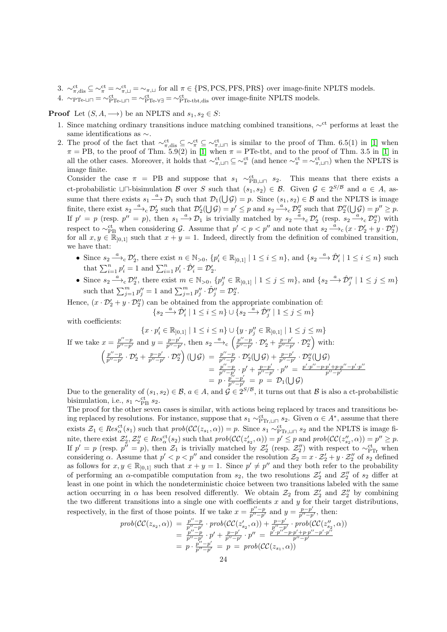- 3.  $\sim_{\pi,\text{dis}}^{\text{ct}} \subseteq \sim_{\pi}^{\text{ct}} = \sim_{\pi,\sqcup}^{\text{ct}} = \sim_{\pi,\sqcup}$  for all  $\pi \in \{PS,PCS,PRS\}$  over image-finite NPLTS models.
- 4.  $\sim_{\text{PTe-LI}}$  =  $\sim_{\text{PTe-VI}}^{\text{ct}} = \sim_{\text{PTe-tbt,dis}}^{\text{ct}}$  over image-finite NPLTS models.

**Proof** Let  $(S, A, \rightarrow)$  be an NPLTS and  $s_1, s_2 \in S$ :

- 1. Since matching ordinary transitions induce matching combined transitions,  $\sim^{ct}$  performs at least the same identifications as ∼.
- 2. The proof of the fact that  $\sim_{\pi,\text{dis}}^{\text{ct}} \subseteq \sim_{\pi}^{\text{ct}} \subseteq \sim_{\pi,\square}^{\text{ct}}$  is similar to the proof of Thm. 6.5(1) in [\[1\]](#page-27-0) when  $\pi = \text{PB}$ , to the proof of Thm. 5.9(2) in [\[1\]](#page-27-0) when  $\pi = \text{PTe-tbt}$ , and to the proof of Thm. 3.5 in [1] in all the other cases. Moreover, it holds that  $\sim_{\pi,\sqcup}\limits^{\text{ct}} \subseteq \sim_{\pi}^{\text{ct}}$  (and hence  $\sim_{\pi}^{\text{ct}} = \sim_{\pi,\sqcup}\limits^{\text{ct}}$ ) when the NPLTS is image finite.

Consider the case  $\pi$  = PB and suppose that  $s_1 \sim_{\text{PB,} \perp \sqcap}^{\text{ct}} s_2$ . This means that there exists a ct-probabilistic  $\Box \Box$ -bisimulation B over S such that  $(s_1, s_2) \in \mathcal{B}$ . Given  $\mathcal{G} \in 2^{S/\mathcal{B}}$  and  $a \in A$ , assume that there exists  $s_1 \stackrel{a}{\longrightarrow} \mathcal{D}_1$  such that  $\mathcal{D}_1(\bigcup \mathcal{G}) = p$ . Since  $(s_1, s_2) \in \mathcal{B}$  and the NPLTS is image finite, there exist  $s_2 \stackrel{a}{\longrightarrow}_c \mathcal{D}'_2$  such that  $\mathcal{D}'_2(\bigcup \mathcal{G}) = p' \leq p$  and  $s_2 \stackrel{a}{\longrightarrow}_c \mathcal{D}''_2$  such that  $\mathcal{D}''_2(\bigcup \mathcal{G}) = p'' \geq p$ . If  $p' = p$  (resp.  $p'' = p$ ), then  $s_1 \stackrel{a}{\longrightarrow} \mathcal{D}_1$  is trivially matched by  $s_2 \stackrel{\bar{a}}{\longrightarrow} {}_c\mathcal{D}_2'$  (resp.  $s_2 \stackrel{\bar{a}}{\longrightarrow} {}_c\mathcal{D}_2''$ ) with respect to  $\sim_{\text{PB}}^{\text{ct}}$  when considering G. Assume that  $p' < p < p''$  and note that  $s_2 \stackrel{a}{\longrightarrow}_c (x \cdot \mathcal{D}'_2 + y \cdot \mathcal{D}''_2)$ for all  $x, y \in \mathbb{R}_{[0,1]}$  such that  $x + y = 1$ . Indeed, directly from the definition of combined transition, we have that:

- Since  $s_2 \xrightarrow{a} c \mathcal{D}'_2$ , there exist  $n \in \mathbb{N}_{>0}$ ,  $\{p'_i \in \mathbb{R}_{]0,1\} \mid 1 \leq i \leq n\}$ , and  $\{s_2 \xrightarrow{a} \hat{\mathcal{D}}'_i \mid 1 \leq i \leq n\}$  such that  $\sum_{i=1}^{n} p'_i = 1$  and  $\sum_{i=1}^{n} p'_i \cdot \hat{\mathcal{D}}'_i = \mathcal{D}'_2$ .
- Since  $s_2 \longrightarrow_c \mathcal{D}_2''$ , there exist  $m \in \mathbb{N}_{>0}$ ,  $\{p_j'' \in \mathbb{R}_{]0,1\} \mid 1 \le j \le m\}$ , and  $\{s_2 \longrightarrow \hat{\mathcal{D}}_j'' \mid 1 \le j \le m\}$ such that  $\sum_{j=1}^m p''_j = 1$  and  $\sum_{j=1}^m p''_j \cdot \hat{\mathcal{D}}''_j = \mathcal{D}'_2$ .

Hence,  $(x \cdot \mathcal{D}'_2 + y \cdot \mathcal{D}''_2)$  can be obtained from the appropriate combination of:  $\{ s_2 \overset{a}{\longrightarrow} \hat{\mathcal{D}}_i' \mid 1 \leq i \leq n \} \cup \{ s_2 \overset{a}{\longrightarrow} \hat{\mathcal{D}}_j'' \mid 1 \leq j \leq m \}$ 

with coefficients:

$$
\{x \cdot p_i' \in \mathbb{R}_{]0,1\} \mid 1 \le i \le n\} \cup \{y \cdot p_j'' \in \mathbb{R}_{]0,1\} \mid 1 \le j \le m\}
$$
\nIf we take  $x = \frac{p'' - p}{p'' - p'}$  and  $y = \frac{p - p'}{p'' - p'}$ , then  $s_2 \xrightarrow{a} \{x \in \left(\frac{p'' - p}{p'' - p'} \cdot D_2' + \frac{p - p'}{p'' - p'} \cdot D_2''\right) \text{ with:}$ \n
$$
\left(\frac{p'' - p}{p'' - p'} \cdot D_2' + \frac{p - p'}{p'' - p'} \cdot D_2''\right) (\bigcup \mathcal{G}) = \frac{p'' - p}{p'' - p'} \cdot D_2' (\bigcup \mathcal{G}) + \frac{p - p'}{p'' - p'} \cdot D_2'' (\bigcup \mathcal{G})
$$
\n
$$
= \frac{p'' - p}{p'' - p'} \cdot p' + \frac{p - p'}{p'' - p'} \cdot p'' = \frac{p' \cdot p'' - p' + p \cdot p'' - p''}{p'' - p'}
$$
\n
$$
= p \cdot \frac{p'' - p'}{p'' - p'} = p = \mathcal{D}_1(\bigcup \mathcal{G})
$$

Due to the generality of  $(s_1, s_2) \in \mathcal{B}$ ,  $a \in A$ , and  $\mathcal{G} \in 2^{S/\mathcal{B}}$ , it turns out that  $\mathcal{B}$  is also a ct-probabilistic bisimulation, i.e.,  $s_1 \sim_{PB}^{ct} s_2$ .

The proof for the other seven cases is similar, with actions being replaced by traces and transitions being replaced by resolutions. For instance, suppose that  $s_1 \sim_{\text{PTr},\perp \sqcap}^{\text{ct}} s_2$ . Given  $\alpha \in A^*$ , assume that there exists  $\mathcal{Z}_1 \in Res_{\alpha}^{\text{ct}}(s_1)$  such that  $prob(\mathcal{CC}(z_{s_1}, \alpha)) = p$ . Since  $s_1 \sim_{\text{PTr}, \sqcup \sqcap}^{\text{ct}} s_2$  and the NPLTS is image finite, there exist  $\mathcal{Z}_2', \mathcal{Z}_2'' \in Res_{\alpha}^{\text{ct}}(s_2)$  such that  $prob(\mathcal{CC}(z_{s_2}', \alpha)) = p' \leq p$  and  $prob(\mathcal{CC}(z_{s_2}'', \alpha)) = p'' \geq p$ . If  $p' = p$  (resp.  $p'' = p$ ), then  $\mathcal{Z}_1$  is trivially matched by  $\mathcal{Z}'_2$  (resp.  $\mathcal{Z}''_2$ ) with respect to  $\sim_{\text{PTr}}^{\text{ct}}$  when considering  $\alpha$ . Assume that  $p' < p < p''$  and consider the resolution  $\mathcal{Z}_2 = x \cdot \mathcal{Z}'_2 + y \cdot \mathcal{Z}''_2$  of  $s_2$  defined as follows for  $x, y \in \mathbb{R}_{]0,1]}$  such that  $x + y = 1$ . Since  $p' \neq p''$  and they both refer to the probability of performing an  $\alpha$ -compatible computation from  $s_2$ , the two resolutions  $\mathcal{Z}'_2$  and  $\mathcal{Z}''_2$  of  $s_2$  differ at least in one point in which the nondeterministic choice between two transitions labeled with the same action occurring in  $\alpha$  has been resolved differently. We obtain  $\mathcal{Z}_2$  from  $\mathcal{Z}'_2$  and  $\mathcal{Z}''_2$  by combining the two different transitions into a single one with coefficients x and y for their target distributions, respectively, in the first of those points. If we take  $x = \frac{p''-p}{p''-p'}$  and  $y = \frac{p-p'}{p''-p}$  $\frac{p-p}{p''-p'}$ , then:

$$
prob(\mathcal{CC}(z_{s_2}, \alpha)) = \frac{p'' - p}{p'' - p'} \cdot prob(\mathcal{CC}(z'_{s_2}, \alpha)) + \frac{p - p'}{p'' - p'} \cdot prob(\mathcal{CC}(z''_{s_2}, \alpha))
$$
  
= 
$$
\frac{p'' - p}{p'' - p'} \cdot p' + \frac{p - p'}{p'' - p'} \cdot p'' = \frac{p' \cdot p'' - p' + p \cdot p'' - p' \cdot p''}{p'' - p' - p'}
$$
  
= 
$$
p \cdot \frac{p'' - p'}{p'' - p'} = p = prob(\mathcal{CC}(z_{s_1}, \alpha))
$$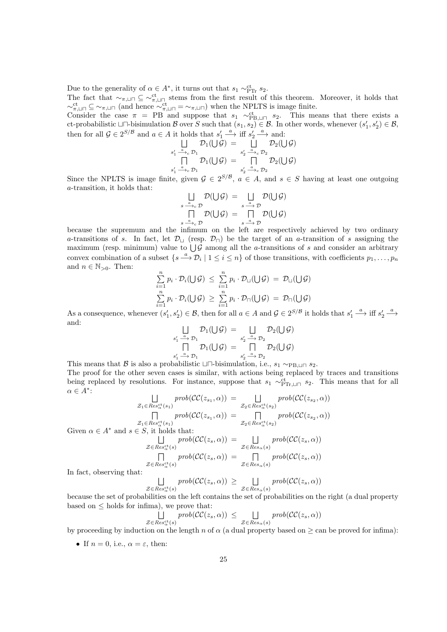Due to the generality of  $\alpha \in A^*$ , it turns out that  $s_1 \sim_{\text{PTr}}^{\text{ct}} s_2$ .

The fact that  $\sim_{\pi,\square}\subseteq\sim_{\pi,\square}\pi$  stems from the first result of this theorem. Moreover, it holds that  $\sim_{\pi,\sqcup}\mathcal{T} \subseteq \sim_{\pi,\sqcup}\mathcal{T}$  (and hence  $\sim_{\pi,\sqcup}\mathcal{T} = \sim_{\pi,\sqcup}\mathcal{T}$ ) when the NPLTS is image finite.

Consider the case  $\pi$  = PB and suppose that  $s_1 \sim_{\text{PB,} \perp \sqcap}^{\text{ct}} s_2$ . This means that there exists a ct-probabilistic  $\Box \Box$ -bisimulation B over S such that  $(s_1, s_2) \in \mathcal{B}$ . In other words, whenever  $(s'_1, s'_2) \in \mathcal{B}$ , then for all  $\mathcal{G} \in 2^{S/B}$  and  $a \in A$  it holds that  $s'_1 \stackrel{a}{\longrightarrow}$  iff  $s'_2 \stackrel{a}{\longrightarrow}$  and:

$$
\bigcup_{s'_1 \stackrel{a}{\longrightarrow}_c D_1} \mathcal{D}_1(\bigcup \mathcal{G}) = \bigcup_{s'_2 \stackrel{a}{\longrightarrow}_c D_2} \mathcal{D}_2(\bigcup \mathcal{G})
$$
  

$$
\bigcap_{s'_1 \stackrel{a}{\longrightarrow}_c D_1} \mathcal{D}_1(\bigcup \mathcal{G}) = \bigcap_{s'_2 \stackrel{a}{\longrightarrow}_c D_2} \mathcal{D}_2(\bigcup \mathcal{G})
$$

Since the NPLTS is image finite, given  $G \in 2^{S/B}$ ,  $a \in A$ , and  $s \in S$  having at least one outgoing a-transition, it holds that:

$$
\bigcup_{s \xrightarrow{a} c} \mathcal{D}(\bigcup \mathcal{G}) = \bigcup_{s \xrightarrow{a} \mathcal{D}} \mathcal{D}(\bigcup \mathcal{G})
$$
  
\n
$$
\bigcap_{s \xrightarrow{a} c} \mathcal{D}(\bigcup \mathcal{G}) = \bigcap_{s \xrightarrow{a} \mathcal{D}} \mathcal{D}(\bigcup \mathcal{G})
$$

because the supremum and the infimum on the left are respectively achieved by two ordinary a-transitions of s. In fact, let  $\mathcal{D}_{\Box}$  (resp.  $\mathcal{D}_{\Box}$ ) be the target of an a-transition of s assigning the maximum (resp. minimum) value to  $\bigcup \mathcal{G}$  among all the *a*-transitions of *s* and consider an arbitrary convex combination of a subset  $\{s \stackrel{a}{\longrightarrow} \mathcal{D}_i \mid 1 \leq i \leq n\}$  of those transitions, with coefficients  $p_1, \ldots, p_n$ and  $n \in \mathbb{N}_{>0}$ . Then:

$$
\sum_{i=1}^{n} p_i \cdot \mathcal{D}_i(\bigcup \mathcal{G}) \leq \sum_{i=1}^{n} p_i \cdot \mathcal{D}_{\sqcup}(\bigcup \mathcal{G}) = \mathcal{D}_{\sqcup}(\bigcup \mathcal{G})
$$
\n
$$
\sum_{i=1}^{n} p_i \cdot \mathcal{D}_i(\bigcup \mathcal{G}) \geq \sum_{i=1}^{n} p_i \cdot \mathcal{D}_{\sqcap}(\bigcup \mathcal{G}) = \mathcal{D}_{\sqcap}(\bigcup \mathcal{G})
$$

As a consequence, whenever  $(s'_1, s'_2) \in \mathcal{B}$ , then for all  $a \in A$  and  $\mathcal{G} \in 2^{S/\mathcal{B}}$  it holds that  $s'_1 \stackrel{a}{\longrightarrow}$  iff  $s'_2 \stackrel{a}{\longrightarrow}$ and:

$$
\bigcup_{s'_1 \stackrel{\alpha}{\longrightarrow} \mathcal{D}_1} \mathcal{D}_1(\bigcup \mathcal{G}) = \bigcup_{s'_2 \stackrel{\alpha}{\longrightarrow} \mathcal{D}_2} \mathcal{D}_2(\bigcup \mathcal{G})
$$
  

$$
\bigcap_{s'_1 \stackrel{\alpha}{\longrightarrow} \mathcal{D}_1} \mathcal{D}_1(\bigcup \mathcal{G}) = \bigcap_{s'_2 \stackrel{\alpha}{\longrightarrow} \mathcal{D}_2} \mathcal{D}_2(\bigcup \mathcal{G})
$$

This means that B is also a probabilistic  $\Box\Box$ -bisimulation, i.e.,  $s_1 \sim_{\text{PB},\Box\Box} s_2$ . The proof for the other seven cases is similar, with actions being replaced by traces and transitions being replaced by resolutions. For instance, suppose that  $s_1 \sim_{\text{PTr},\sqcup \sqcap}^{\text{ct}} s_2$ . This means that for all  $\alpha \in A^*$ :

$$
\alpha \in A^*:
$$
\n
$$
\bigcup_{\substack{Z_1 \in Res_{\alpha}^{\text{ct}}(s_1) \\ Z_1 \in Res_{\alpha}^{\text{ct}}(s_1)}} \text{prob}(\mathcal{C}\mathcal{C}(z_{s_1}, \alpha)) = \bigcup_{\substack{Z_2 \in Res_{\alpha}^{\text{ct}}(s_2) \\ Z_2 \in Res_{\alpha}^{\text{ct}}(s_2)}} \text{prob}(\mathcal{C}\mathcal{C}(z_{s_2}, \alpha))
$$
\nGiven  $\alpha \in A^*$  and  $s \in S$ , it holds that:  
\n
$$
\bigcup_{\substack{Z \in Res_{\alpha}^{\text{ct}}(s) \\ Z \in Res_{\alpha}^{\text{ct}}(s)}} \text{prob}(\mathcal{C}\mathcal{C}(z_s, \alpha)) = \bigcup_{\substack{Z \in Res_{\alpha}^{\text{ct}}(s) \\ Z \in Res_{\alpha}^{\text{ct}}(s)}} \text{prob}(\mathcal{C}\mathcal{C}(z_s, \alpha))
$$
\nIn fact, observing that:  
\n
$$
\bigcap_{\substack{Z \in Res_{\alpha}^{\text{ct}}(s) \\ Z \in Res_{\alpha}^{\text{ct}}(s)}} \text{prob}(\mathcal{C}\mathcal{C}(z_s, \alpha)) = \bigcap_{\substack{Z \in Res_{\alpha}(s) \\ Z \in Res_{\alpha}^{\text{ct}}(s)}} \text{prob}(\mathcal{C}\mathcal{C}(z_s, \alpha))
$$

 $\Box$  $\mathcal{Z} \in Res_{\alpha}^{\rm ct}(s)$  $prob(\mathcal{CC}(z_s,\alpha)) \geq \Box$  $\mathcal{Z} \in Res_{\alpha}(s)$  $prob(\mathcal{CC}(z_s,\alpha))$ 

because the set of probabilities on the left contains the set of probabilities on the right (a dual property based on  $\leq$  holds for infima), we prove that:

$$
\bigcup_{\mathcal{Z}\in Res_{\alpha}^{\mathrm{ct}}(s)}\mathit{prob}(\mathcal{CC}(z_s,\alpha))\ \leq \ \bigcup_{\mathcal{Z}\in Res_{\alpha}(s)}\mathit{prob}(\mathcal{CC}(z_s,\alpha))
$$

by proceeding by induction on the length n of  $\alpha$  (a dual property based on  $\geq$  can be proved for infima):

• If  $n = 0$ , i.e.,  $\alpha = \varepsilon$ , then: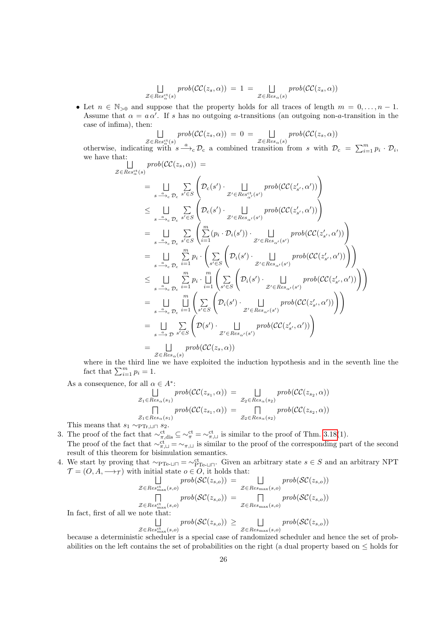$$
\bigcup_{\mathcal{Z}\in Res_{\alpha}^{\mathrm{ct}}(s)}\text{prob}(\mathcal{CC}(z_s,\alpha)) = 1 = \bigcup_{\mathcal{Z}\in Res_{\alpha}(s)}\text{prob}(\mathcal{CC}(z_s,\alpha))
$$

• Let  $n \in \mathbb{N}_{>0}$  and suppose that the property holds for all traces of length  $m = 0, \ldots, n - 1$ . Assume that  $\alpha = a \alpha'$ . If s has no outgoing a-transitions (an outgoing non-a-transition in the case of infima), then:

$$
\bigsqcup_{\mathcal{Z}\in Res_{\alpha}^{\mathrm{ct}}(s)}\mathit{prob}(\mathcal{CC}(z_s,\alpha)) = 0 = \bigsqcup_{\mathcal{Z}\in Res_{\alpha}(s)}\mathit{prob}(\mathcal{CC}(z_s,\alpha))
$$

otherwise, indicating with  $s \xrightarrow{a} \mathcal{D}_c$  a combined transition from s with  $\mathcal{D}_c = \sum_{i=1}^m p_i \cdot \mathcal{D}_i$ , we have that:

$$
\begin{split}\n\sum_{\mathcal{Z}\in Res_{\alpha}^{\text{ct}}(s)}\n\text{prob}(\mathcal{CC}(z_s,\alpha)) &= \\
&= \bigsqcup_{s\stackrel{\alpha}{\longrightarrow}_{c}\mathcal{D}_c} \sum_{s'\in S} \left(\mathcal{D}_c(s')\cdot \bigsqcup_{\mathcal{Z}'\in Res_{\alpha'}^{\text{ct}}(s')} \text{prob}(\mathcal{CC}(z'_{s'},\alpha'))\right) \\
&\leq \bigsqcup_{s\stackrel{\alpha}{\longrightarrow}_{c}\mathcal{D}_c} \sum_{s'\in S} \left(\mathcal{D}_c(s')\cdot \bigsqcup_{\mathcal{Z}'\in Res_{\alpha'}(s')} \text{prob}(\mathcal{CC}(z'_{s'},\alpha'))\right) \\
&= \bigsqcup_{s\stackrel{\alpha}{\longrightarrow}_{c}\mathcal{D}_c} \sum_{s'\in S} \left(\sum_{i=1}^m (p_i \cdot \mathcal{D}_i(s')) \cdot \bigsqcup_{\mathcal{Z}'\in Res_{\alpha'}(s')} \text{prob}(\mathcal{CC}(z'_{s'},\alpha'))\right) \\
&= \bigsqcup_{s\stackrel{\alpha}{\longrightarrow}_{c}\mathcal{D}_c} \sum_{i=1}^m p_i \cdot \left(\sum_{s'\in S} \left(\mathcal{D}_i(s')\cdot \bigsqcup_{\mathcal{Z}'\in Res_{\alpha'}(s')} \text{prob}(\mathcal{CC}(z'_{s'},\alpha'))\right)\right) \\
&= \bigsqcup_{s\stackrel{\alpha}{\longrightarrow}_{c}\mathcal{D}_c} \sum_{i=1}^m p_i \cdot \bigsqcup_{i=1}^m \left(\sum_{s'\in S} \left(\mathcal{D}_i(s')\cdot \bigsqcup_{\mathcal{Z}'\in Res_{\alpha'}(s')} \text{prob}(\mathcal{CC}(z'_{s'},\alpha'))\right)\right) \\
&= \bigsqcup_{s\stackrel{\alpha}{\longrightarrow}_{c}\mathcal{D}_c} \sum_{i=1}^m \left(\sum_{s'\in S} \left(\mathcal{D}_i(s')\cdot \bigsqcup_{\mathcal{Z}'\in Res_{\alpha'}(s')} \text{prob}(\mathcal{CC}(z'_{s'},\alpha'))\right)\right) \\
&= \bigsqcup_{s\stackrel{\alpha}{\longrightarrow}_{\mathcal{D}}} \sum_{s'\in S} \left(\mathcal{D}(s')\cdot \bigsqcup_{\mathcal{Z}'\in Res_{\
$$

where in the third line we have exploited the induction hypothesis and in the seventh line the fact that  $\sum_{i=1}^{m} p_i = 1$ .

As a consequence, for all  $\alpha \in A^*$ :

$$
\bigcup_{\mathcal{Z}_1 \in Res_{\alpha}(s_1)} prob(\mathcal{CC}(z_{s_1}, \alpha)) = \bigcup_{\mathcal{Z}_2 \in Res_{\alpha}(s_2)} prob(\mathcal{CC}(z_{s_2}, \alpha))
$$
  

$$
\bigcap_{\mathcal{Z}_1 \in Res_{\alpha}(s_1)} prob(\mathcal{CC}(z_{s_1}, \alpha)) = \bigcap_{\mathcal{Z}_2 \in Res_{\alpha}(s_2)} prob(\mathcal{CC}(z_{s_2}, \alpha))
$$

This means that  $s_1 \sim_{\text{PTr},\sqcup \sqcap} s_2$ .

- 3. The proof of the fact that  $\sim_{\pi,\text{dis}}^{\text{ct}} \subseteq \sim_{\pi}^{\text{ct}} = \sim_{\pi,\sqcup}^{\text{ct}}$  is similar to the proof of Thm. [3.18\(](#page-17-0)1). The proof of the fact that  $\sim_{\pi,\square}^{\text{ct}} = \sim_{\pi,\square}$  is similar to the proof of the corresponding part of the second result of this theorem for bisimulation semantics.
- 4. We start by proving that  $\sim_{\text{PTe-LI}} = \sim_{\text{PTe-LI}}^{\text{ct}}$ . Given an arbitrary state  $s \in S$  and an arbitrary NPT  $\mathcal{T} = (O, A, \longrightarrow_{\mathcal{T}})$  with initial state  $o \in O$ , it holds that:

$$
\mathcal{Z} \in Res_{\max}^{\text{ct}}(s, o) \quad \mathcal{Z} \in Res_{\max}^{\text{ct}}(s, o) \quad \mathcal{Z} \in Res_{\max}^{\text{ct}}(s, o) \quad \mathcal{Z} \in Res_{\max}^{\text{ct}}(s, o) \quad \text{prob}(SC(z_{s, o})) \quad \mathcal{Z} \in Res_{\max}^{\text{ct}}(s, o) \quad \mathcal{Z} \in Res_{\max}^{\text{ct}}(s, o) \quad \mathcal{Z} \in Res_{\max}^{\text{ct}}(s, o) \quad \text{prob}(SC(z_{s, o})) \quad \mathcal{Z} \in Res_{\max}^{\text{ct}}(s, o) \quad \text{prob}(SC(z_{s, o})) \geq \qquad \qquad \text{prob}(SC(z_{s, o})) \quad \text{prob}(SC(z_{s, o})) \quad \text{prob}(SC(z_{s, o})) \quad \text{prob}(SC(z_{s, o})) \quad \text{prob}(SC(z_{s, o})) \quad \text{prob}(SC(z_{s, o})) \quad \text{prob}(SC(z_{s, o})) \quad \text{prob}(SC(z_{s, o})) \quad \text{prob}(SC(z_{s, o})) \quad \text{prob}(SC(z_{s, o})) \quad \text{prob}(SC(z_{s, o})) \quad \text{prob}(SC(z_{s, o})) \quad \text{prob}(SC(z_{s, o})) \quad \text{prob}(SC(z_{s, o})) \quad \text{prob}(SC(z_{s, o})) \quad \text{prob}(SC(z_{s, o})) \quad \text{prob}(SC(z_{s, o})) \quad \text{prob}(SC(z_{s, o})) \quad \text{prob}(SC(z_{s, o})) \quad \text{prob}(SC(z_{s, o})) \quad \text{prob}(SC(z_{s, o})) \quad \text{prob}(SC(z_{s, o})) \quad \text{prob}(SC(z_{s, o})) \quad \text{prob}(SC(z_{s, o})) \quad \text{prob}(SC(z_{s, o})) \quad \text{prob}(SC(z_{s, o})) \quad \text{prob}(SC(z_{s, o})) \quad \text{proj}(SC(z_{s, o})) \quad \text{proj}(SC(z_{s, o})) \quad \text{proj}(SC(z_{s, o})) \quad \text{proj}(SC(z_{s, o})) \quad \text{proj}(SC(z_{s, o})) \quad \text{proj}(SC(z_{s, o})) \quad \text{proj}(SC(z_{s, o})) \quad \text{proj}(SC(z_{s, o})) \quad \text{proj}(SC(z_{s, o})) \
$$

In fact, first of all

$$
\bigcup_{\substack{\mathcal{Z}\in Res_{\max}(s,o)\\ \text{is a sub-able}}}\text{prob}(\mathcal{SC}(z_{s,o}))\geq \bigcup_{\substack{\mathcal{Z}\in Res_{\max}(s,o)\\ \text{is a sub-able sub-able sub-able}}}\text{prob}(\mathcal{SC}(z_{s,o}))
$$

because a deterministic scheduler is a special case of randomized scheduler and hence the set of probabilities on the left contains the set of probabilities on the right (a dual property based on  $\leq$  holds for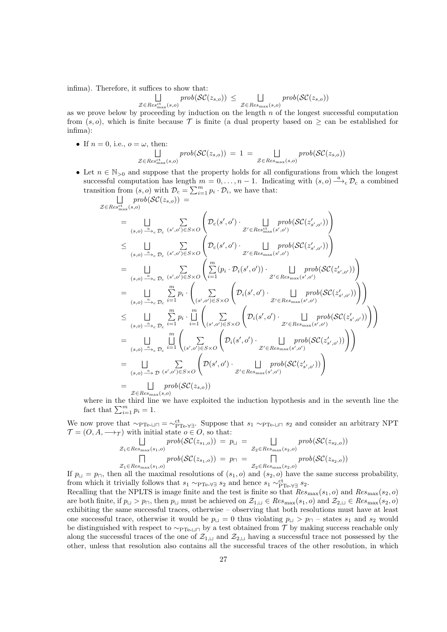infima). Therefore, it suffices to show that:

$$
\bigsqcup_{\mathcal{Z} \in Res_{\max}^{\text{ct}}(s,o)} \text{prob}(\mathcal{SC}(z_{s,o})) \leq \bigsqcup_{\mathcal{Z} \in Res_{\max}(s,o)} \text{prob}(\mathcal{SC}(z_{s,o}))
$$

as we prove below by proceeding by induction on the length  $n$  of the longest successful computation from  $(s, o)$ , which is finite because T is finite (a dual property based on  $>$  can be established for infima):

• If 
$$
n = 0
$$
, i.e.,  $o = \omega$ , then:  
\n
$$
\bigsqcup_{\mathcal{Z} \in Res_{\text{max}}^{\text{ct}}(s,o)} \text{prob}(\mathcal{SC}(z_{s,o})) = 1 = \bigsqcup_{\mathcal{Z} \in Res_{\text{max}}(s,o)} \text{prob}(\mathcal{SC}(z_{s,o}))
$$

• Let  $n \in \mathbb{N}_{>0}$  and suppose that the property holds for all configurations from which the longest successful computation has length  $m = 0, \ldots, n-1$ . Indicating with  $(s, o) \xrightarrow{a} \mathcal{D}_c$  a combined transition from  $(s, o)$  with  $\mathcal{D}_{c} = \sum_{i=1}^{m} p_i \cdot \mathcal{D}_i$ , we have that:

$$
\begin{split} &\mathcal{Z}\in Res_{\max}^{\mathrm{ct}}(s,o))=\\ &=\bigsqcup_{(s,o)\xrightarrow{\Delta_{c}}\mathcal{D}_{c}}\sum_{(s',o')\in S\times O}\left(\mathcal{D}_{c}(s',o')\cdot \bigsqcup_{\mathcal{Z}'\in Res_{\max}^{\mathrm{ct}}(s',o')}\text{prob}(\mathcal{SC}(z'_{s',o'}))\right)\\ &\leq \bigsqcup_{(s,o)\xrightarrow{\Delta_{c}}\mathcal{D}_{c}}\sum_{(s',o')\in S\times O}\left(\mathcal{D}_{c}(s',o')\cdot \bigsqcup_{\mathcal{Z}'\in Res_{\max}^{\mathrm{ct}}(s',o')}\text{prob}(\mathcal{SC}(z'_{s',o'}))\right)\\ &=\bigsqcup_{(s,o)\xrightarrow{\Delta_{c}}\mathcal{D}_{c}}\sum_{(s',o')\in S\times O}\left(\bigsqcup_{i=1}^{m}(p_{i}\cdot\mathcal{D}_{i}(s',o'))\cdot \bigsqcup_{\mathcal{Z}'\in Res_{\max}(s',o')}\text{prob}(\mathcal{SC}(z'_{s',o'}))\right)\\ &=\bigsqcup_{(s,o)\xrightarrow{\Delta_{c}}\mathcal{D}_{c}}\sum_{i=1}^{m}p_{i}\cdot \left(\sum_{(s',o')\in S\times O}\left(\mathcal{D}_{i}(s',o')\cdot \bigsqcup_{\mathcal{Z}'\in Res_{\max}(s',o')}\text{prob}(\mathcal{SC}(z'_{s',o'}))\right)\right)\\ &\leq \bigsqcup_{(s,o)\xrightarrow{\Delta_{c}}\mathcal{D}_{c}}\sum_{i=1}^{m}p_{i}\cdot \bigsqcup_{i=1}^{m}\left(\sum_{(s',o')\in S\times O}\left(\mathcal{D}_{i}(s',o')\cdot \bigsqcup_{\mathcal{Z}'\in Res_{\max}(s',o')}\text{prob}(\mathcal{SC}(z'_{s',o'}))\right)\right)\\ &=\bigsqcup_{(s,o)\xrightarrow{\Delta_{c}}\mathcal{D}_{c}}\prod_{i=1}^{m}\left(\sum_{(s',o')\in S\times O}\left(\mathcal{D}_{i}(s',o')\cdot \bigsqcup_{\mathcal{Z}'\in Res_{\max}(s',o')}\text{prob}(\mathcal{SC}(z'_{s',o'}))\right)\\ &=\bigsqcup_{(s,o)\xrightarrow{\Delta_{c}}\
$$

where in the third line we have exploited the induction hypothesis and in the seventh line the fact that  $\sum_{i=1}^{m} p_i = 1$ .

We now prove that  $\sim_{\text{PTe-} \cup \sqcap} = \sim_{\text{PTe-} \forall \exists}^{\text{ct}}$ . Suppose that  $s_1 \sim_{\text{PTe-} \sqcup \sqcap} s_2$  and consider an arbitrary NPT  $\mathcal{T} = (O, A, \longrightarrow_{\mathcal{T}})$  with initial state  $o \in O$ , so that:

$$
\mathcal{Z}_1 \in Res_{\max}(s_1, o) \quad prob(\mathcal{SC}(z_{s_1, o})) = p_{\sqcup} = \bigsqcup_{\mathcal{Z}_2 \in Res_{\max}(s_2, o)} prob(\mathcal{SC}(z_{s_2, o}))
$$
\n
$$
\bigsqcup_{\mathcal{Z}_1 \in Res_{\max}(s_1, o)} prob(\mathcal{SC}(z_{s_1, o})) = p_{\sqcap} = \bigsqcup_{\mathcal{Z}_2 \in Res_{\max}(s_2, o)} prob(\mathcal{SC}(z_{s_2, o}))
$$
\n
$$
\mathcal{Z}_1 \in Res_{\max}(s_1, o)
$$
\nand the same area

If  $p_{\perp} = p_{\square}$ , then all the maximal resolutions of  $(s_1, o)$  and  $(s_2, o)$  have the same success probability, from which it trivially follows that  $s_1 \sim_{\text{PTe-V}} s_2$  and hence  $s_1 \sim_{\text{PTe-V}}^{ct} s_2$ .

Recalling that the NPLTS is image finite and the test is finite so that  $Res_{\text{max}}(s_1, o)$  and  $Res_{\text{max}}(s_2, o)$ are both finite, if  $p_{\perp} > p_{\square}$ , then  $p_{\perp}$  must be achieved on  $\mathcal{Z}_{1,\perp} \in Res_{\text{max}}(s_1, o)$  and  $\mathcal{Z}_{2,\perp} \in Res_{\text{max}}(s_2, o)$ exhibiting the same successful traces, otherwise – observing that both resolutions must have at least one successful trace, otherwise it would be  $p_{\perp} = 0$  thus violating  $p_{\perp} > p_{\square}$  – states  $s_1$  and  $s_2$  would be distinguished with respect to  $\sim_{\text{PTe-II}}$  by a test obtained from T by making success reachable only along the successful traces of the one of  $\mathcal{Z}_{1,\square}$  and  $\mathcal{Z}_{2,\square}$  having a successful trace not possessed by the other, unless that resolution also contains all the successful traces of the other resolution, in which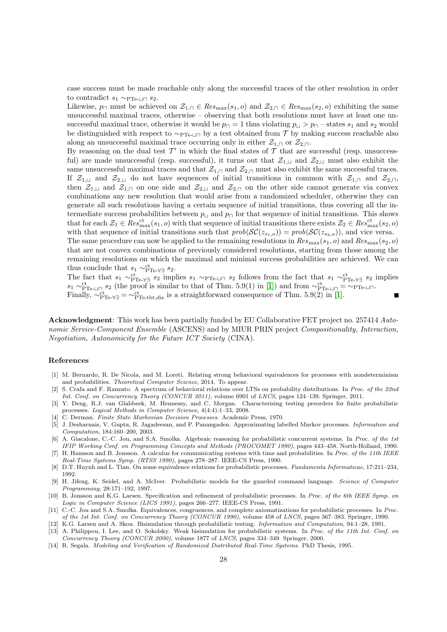case success must be made reachable only along the successful traces of the other resolution in order to contradict  $s_1 \sim_{\text{PTe-II}} s_2$ .

Likewise,  $p_{\Box}$  must be achieved on  $\mathcal{Z}_{1,\Box} \in Res_{\text{max}}(s_1, o)$  and  $\mathcal{Z}_{2,\Box} \in Res_{\text{max}}(s_2, o)$  exhibiting the same unsuccessful maximal traces, otherwise – observing that both resolutions must have at least one unsuccessful maximal trace, otherwise it would be  $p_{\Box} = 1$  thus violating  $p_{\Box} > p_{\Box}$  – states  $s_1$  and  $s_2$  would be distinguished with respect to  $\sim_{\text{PTe-LI}}$  by a test obtained from T by making success reachable also along an unsuccessful maximal trace occurring only in either  $\mathcal{Z}_{1,\Box}$  or  $\mathcal{Z}_{2,\Box}$ .

By reasoning on the dual test  $\mathcal{T}'$  in which the final states of  $\mathcal T$  that are successful (resp. unsuccessful) are made unsuccessful (resp. successful), it turns out that  $\mathcal{Z}_{1,\square}$  and  $\mathcal{Z}_{2,\square}$  must also exhibit the same unsuccessful maximal traces and that  $\mathcal{Z}_{1,\square}$  and  $\mathcal{Z}_{2,\square}$  must also exhibit the same successful traces. If  $\mathcal{Z}_{1,1}$  and  $\mathcal{Z}_{2,1}$  do not have sequences of initial transitions in common with  $\mathcal{Z}_{1,1}$  and  $\mathcal{Z}_{2,1}$ , then  $\mathcal{Z}_{1,\square}$  and  $\mathcal{Z}_{1,\square}$  on one side and  $\mathcal{Z}_{2,\square}$  and  $\mathcal{Z}_{2,\square}$  on the other side cannot generate via convex combinations any new resolution that would arise from a randomized scheduler, otherwise they can generate all such resolutions having a certain sequence of initial transitions, thus covering all the intermediate success probabilities between  $p_{\sqcup}$  and  $p_{\sqcap}$  for that sequence of initial transitions. This shows that for each  $\mathcal{Z}_1 \in Res_{\max}^{\text{ct}}(s_1, o)$  with that sequence of initial transitions there exists  $\mathcal{Z}_2 \in Res_{\max}^{\text{ct}}(s_2, o)$ with that sequence of initial transitions such that  $prob(\mathcal{SC}(z_{s_1,o})) = prob(\mathcal{SC}(z_{s_2,o}))$ , and vice versa. The same procedure can now be applied to the remaining resolutions in  $Res_{\text{max}}(s_1, o)$  and  $Res_{\text{max}}(s_2, o)$ that are not convex combinations of previously considered resolutions, starting from those among the

remaining resolutions on which the maximal and minimal success probabilities are achieved. We can thus conclude that  $s_1 \sim_{\text{PTe-V} \exists}^{\text{ct}} s_2$ .

The fact that  $s_1 \sim_{\text{PTe-V}}^{\text{ct}} s_2$  implies  $s_1 \sim_{\text{PTe-U}}^{\text{ct}} s_2$  follows from the fact that  $s_1 \sim_{\text{PTe-V}}^{\text{ct}} s_2$  implies  $s_1 \sim_{\text{PTe-LI} \cap}^{\text{ct}} s_2$  (the proof is similar to that of Thm. 5.9(1) in [\[1\]](#page-27-0)) and from  $\sim_{\text{PTe-LI}}^{\text{ct}} = \sim_{\text{PTe-LI}}$ . Finally,  $\sim_{\text{PTe-V}}^{\text{ct}} = \sim_{\text{PTe-tbt,dis}}^{\text{ct}}$  is a straightforward consequence of Thm. 5.9(2) in [\[1\]](#page-27-0).

Acknowledgment: This work has been partially funded by EU Collaborative FET project no. 257414 Autonomic Service-Component Ensemble (ASCENS) and by MIUR PRIN project Compositionality, Interaction, Negotiation, Autonomicity for the Future ICT Society (CINA).

# References

- <span id="page-27-0"></span>[1] M. Bernardo, R. De Nicola, and M. Loreti. Relating strong behavioral equivalences for processes with nondeterminism and probabilities. Theoretical Computer Science, 2014. To appear.
- <span id="page-27-12"></span>[2] S. Crafa and F. Ranzato. A spectrum of behavioral relations over LTSs on probability distributions. In Proc. of the 22nd Int. Conf. on Concurrency Theory (CONCUR 2011), volume 6901 of LNCS, pages 124–139. Springer, 2011.
- <span id="page-27-11"></span>[3] Y. Deng, R.J. van Glabbeek, M. Hennessy, and C. Morgan. Characterising testing preorders for finite probabilistic processes. Logical Methods in Computer Science, 4(4:4):1–33, 2008.
- <span id="page-27-3"></span>[4] C. Derman. Finite State Markovian Decision Processes. Academic Press, 1970.
- <span id="page-27-10"></span>[5] J. Desharnais, V. Gupta, R. Jagadeesan, and P. Panangaden. Approximating labelled Markov processes. Information and Computation, 184:160–200, 2003.
- <span id="page-27-13"></span>[6] A. Giacalone, C.-C. Jou, and S.A. Smolka. Algebraic reasoning for probabilistic concurrent systems. In Proc. of the 1st IFIP Working Conf. on Programming Concepts and Methods (PROCOMET 1990), pages 443–458. North-Holland, 1990.
- <span id="page-27-4"></span>[7] H. Hansson and B. Jonsson. A calculus for communicating systems with time and probabilities. In Proc. of the 11th IEEE Real-Time Systems Symp. (RTSS 1990), pages 278–287. IEEE-CS Press, 1990.
- <span id="page-27-8"></span>[8] D.T. Huynh and L. Tian. On some equivalence relations for probabilistic processes. Fundamenta Informaticae, 17:211–234, 1992.
- <span id="page-27-6"></span>[9] H. Jifeng, K. Seidel, and A. McIver. Probabilistic models for the guarded command language. Science of Computer Programming, 28:171–192, 1997.
- <span id="page-27-9"></span>[10] B. Jonsson and K.G. Larsen. Specification and refinement of probabilistic processes. In Proc. of the 6th IEEE Symp. on Logic in Computer Science (LICS 1991), pages 266–277. IEEE-CS Press, 1991.
- <span id="page-27-7"></span>[11] C.-C. Jou and S.A. Smolka. Equivalences, congruences, and complete axiomatizations for probabilistic processes. In Proc. of the 1st Int. Conf. on Concurrency Theory (CONCUR 1990), volume 458 of LNCS, pages 367–383. Springer, 1990.
- <span id="page-27-5"></span><span id="page-27-1"></span>[12] K.G. Larsen and A. Skou. Bisimulation through probabilistic testing. Information and Computation, 94:1–28, 1991. [13] A. Philippou, I. Lee, and O. Sokolsky. Weak bisimulation for probabilistic systems. In Proc. of the 11th Int. Conf. on Concurrency Theory (CONCUR 2000), volume 1877 of LNCS, pages 334–349. Springer, 2000.
- <span id="page-27-2"></span>[14] R. Segala. Modeling and Verification of Randomized Distributed Real-Time Systems. PhD Thesis, 1995.